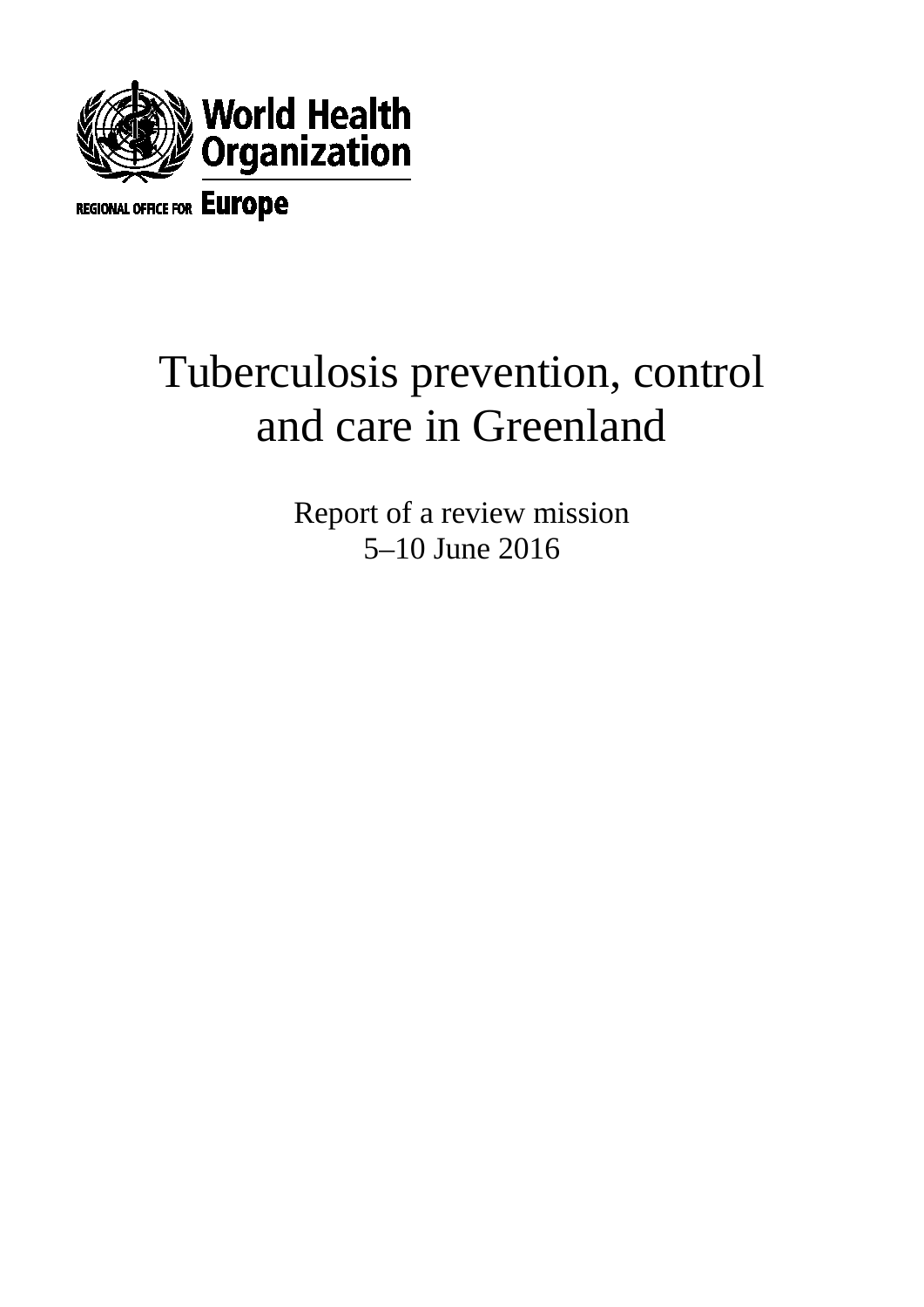

**REGIONAL OFFICE FOR Europe** 

# Tuberculosis prevention, control and care in Greenland

Report of a review mission 5–10 June 2016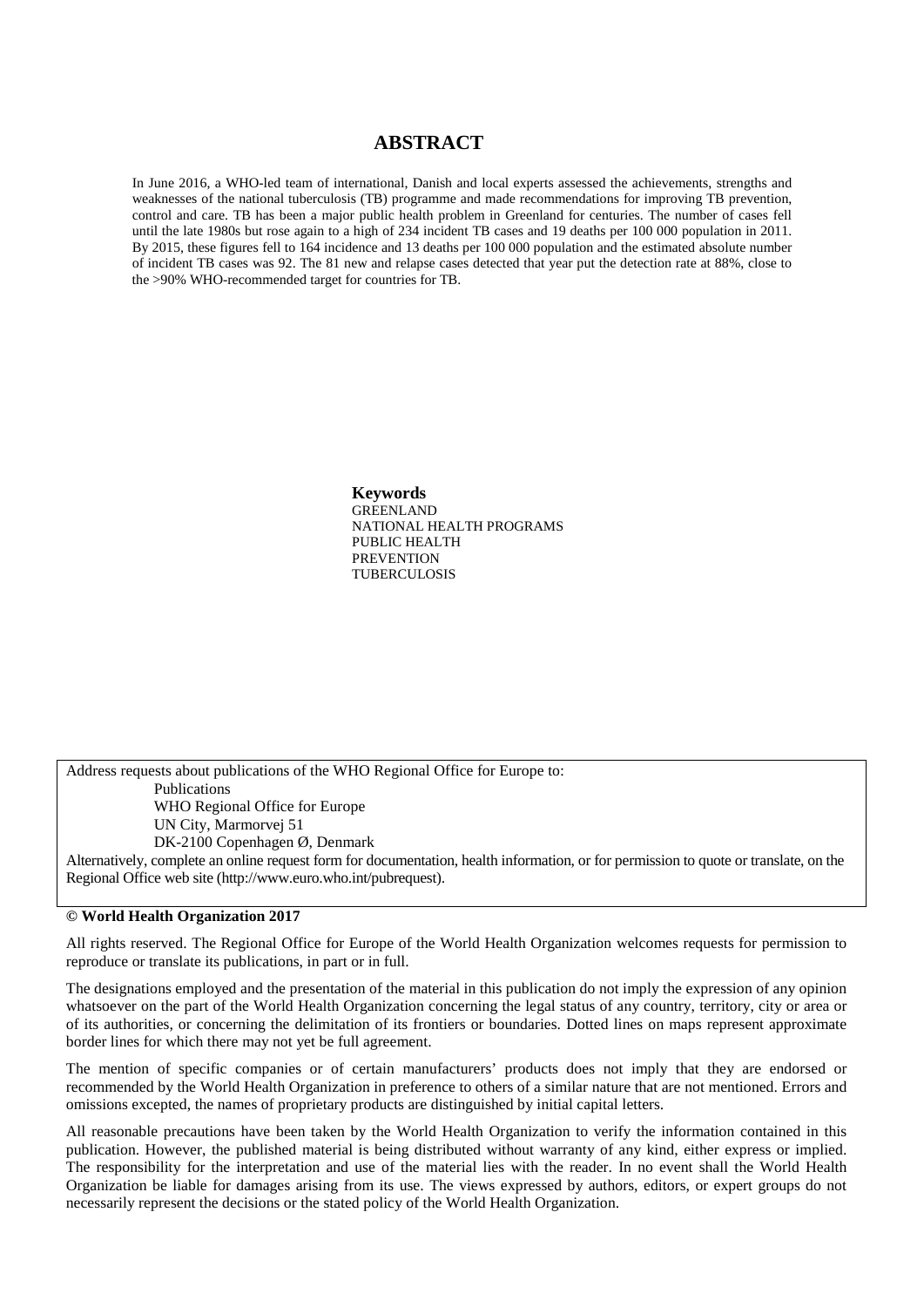#### **ABSTRACT**

In June 2016, a WHO-led team of international, Danish and local experts assessed the achievements, strengths and weaknesses of the national tuberculosis (TB) programme and made recommendations for improving TB prevention, control and care. TB has been a major public health problem in Greenland for centuries. The number of cases fell until the late 1980s but rose again to a high of 234 incident TB cases and 19 deaths per 100 000 population in 2011. By 2015, these figures fell to 164 incidence and 13 deaths per 100 000 population and the estimated absolute number of incident TB cases was 92. The 81 new and relapse cases detected that year put the detection rate at 88%, close to the >90% WHO-recommended target for countries for TB.

> **Keywords GREENLAND** NATIONAL HEALTH PROGRAMS PUBLIC HEALTH PREVENTION TUBERCULOSIS

Address requests about publications of the WHO Regional Office for Europe to: Publications WHO Regional Office for Europe UN City, Marmorvej 51 DK-2100 Copenhagen Ø, Denmark Alternatively, complete an online request form for documentation, health information, or for permission to quote or translate, on the Regional Office web site (http://www.euro.who.int/pubrequest).

#### **© World Health Organization 2017**

All rights reserved. The Regional Office for Europe of the World Health Organization welcomes requests for permission to reproduce or translate its publications, in part or in full.

The designations employed and the presentation of the material in this publication do not imply the expression of any opinion whatsoever on the part of the World Health Organization concerning the legal status of any country, territory, city or area or of its authorities, or concerning the delimitation of its frontiers or boundaries. Dotted lines on maps represent approximate border lines for which there may not yet be full agreement.

The mention of specific companies or of certain manufacturers' products does not imply that they are endorsed or recommended by the World Health Organization in preference to others of a similar nature that are not mentioned. Errors and omissions excepted, the names of proprietary products are distinguished by initial capital letters.

All reasonable precautions have been taken by the World Health Organization to verify the information contained in this publication. However, the published material is being distributed without warranty of any kind, either express or implied. The responsibility for the interpretation and use of the material lies with the reader. In no event shall the World Health Organization be liable for damages arising from its use. The views expressed by authors, editors, or expert groups do not necessarily represent the decisions or the stated policy of the World Health Organization.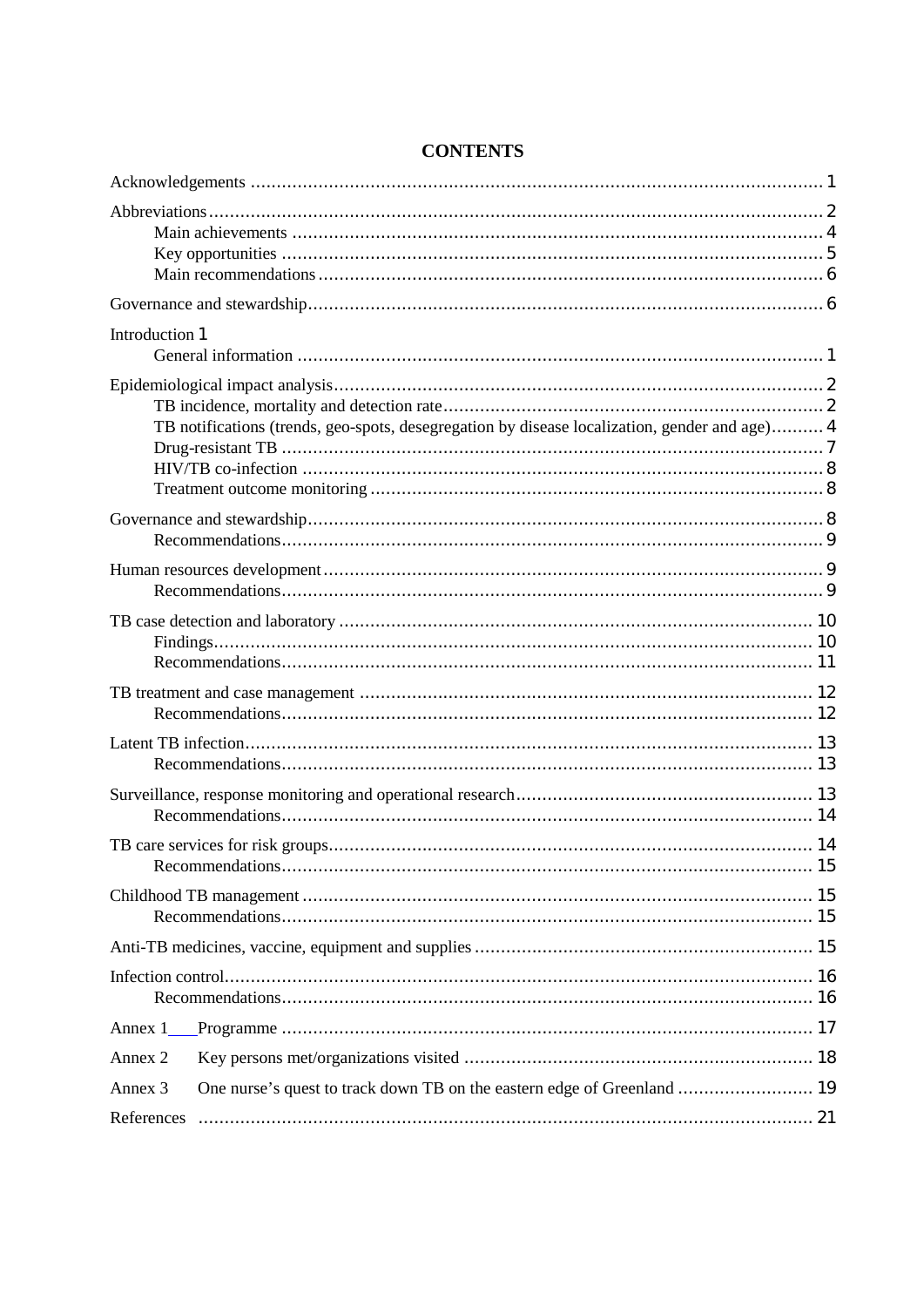| Introduction 1                                                                                |  |
|-----------------------------------------------------------------------------------------------|--|
| TB notifications (trends, geo-spots, desegregation by disease localization, gender and age) 4 |  |
|                                                                                               |  |
|                                                                                               |  |
|                                                                                               |  |
|                                                                                               |  |
|                                                                                               |  |
|                                                                                               |  |
|                                                                                               |  |
|                                                                                               |  |
|                                                                                               |  |
|                                                                                               |  |
| Annex 1                                                                                       |  |
| Annex 2                                                                                       |  |
| Annex <sub>3</sub>                                                                            |  |
| References                                                                                    |  |

#### **CONTENTS**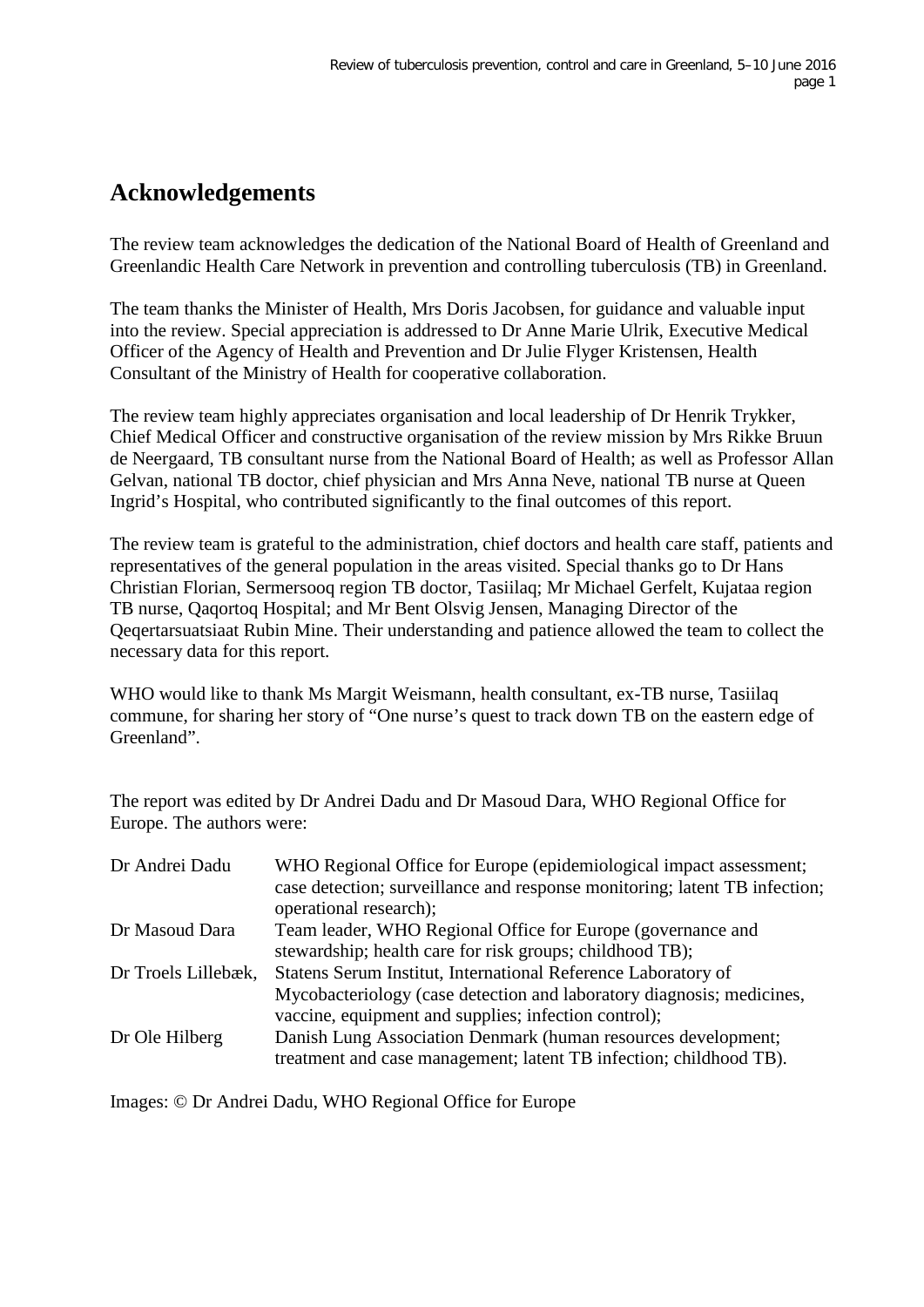# <span id="page-3-0"></span>**Acknowledgements**

The review team acknowledges the dedication of the National Board of Health of Greenland and Greenlandic Health Care Network in prevention and controlling tuberculosis (TB) in Greenland.

The team thanks the Minister of Health, Mrs Doris Jacobsen, for guidance and valuable input into the review. Special appreciation is addressed to Dr Anne Marie Ulrik, Executive Medical Officer of the Agency of Health and Prevention and Dr Julie Flyger Kristensen, Health Consultant of the Ministry of Health for cooperative collaboration.

The review team highly appreciates organisation and local leadership of Dr Henrik Trykker, Chief Medical Officer and constructive organisation of the review mission by Mrs Rikke Bruun de Neergaard, TB consultant nurse from the National Board of Health; as well as Professor Allan Gelvan, national TB doctor, chief physician and Mrs Anna Neve, national TB nurse at Queen Ingrid's Hospital, who contributed significantly to the final outcomes of this report.

The review team is grateful to the administration, chief doctors and health care staff, patients and representatives of the general population in the areas visited. Special thanks go to Dr Hans Christian Florian, Sermersooq region TB doctor, Tasiilaq; Mr Michael Gerfelt, Kujataa region TB nurse, Qaqortoq Hospital; and Mr Bent Olsvig Jensen, Managing Director of the Qeqertarsuatsiaat Rubin Mine. Their understanding and patience allowed the team to collect the necessary data for this report.

WHO would like to thank Ms Margit Weismann, health consultant, ex-TB nurse, Tasiilaq commune, for sharing her story of "One nurse's quest to track down TB on the eastern edge of Greenland".

The report was edited by Dr Andrei Dadu and Dr Masoud Dara, WHO Regional Office for Europe. The authors were:

| Dr Andrei Dadu      | WHO Regional Office for Europe (epidemiological impact assessment;<br>case detection; surveillance and response monitoring; latent TB infection; |
|---------------------|--------------------------------------------------------------------------------------------------------------------------------------------------|
|                     | operational research);                                                                                                                           |
| Dr Masoud Dara      | Team leader, WHO Regional Office for Europe (governance and                                                                                      |
|                     | stewardship; health care for risk groups; childhood TB);                                                                                         |
| Dr Troels Lillebæk, | Statens Serum Institut, International Reference Laboratory of                                                                                    |
|                     | Mycobacteriology (case detection and laboratory diagnosis; medicines,                                                                            |
|                     | vaccine, equipment and supplies; infection control);                                                                                             |
| Dr Ole Hilberg      | Danish Lung Association Denmark (human resources development;<br>treatment and case management; latent TB infection; childhood TB).              |

Images: © Dr Andrei Dadu, WHO Regional Office for Europe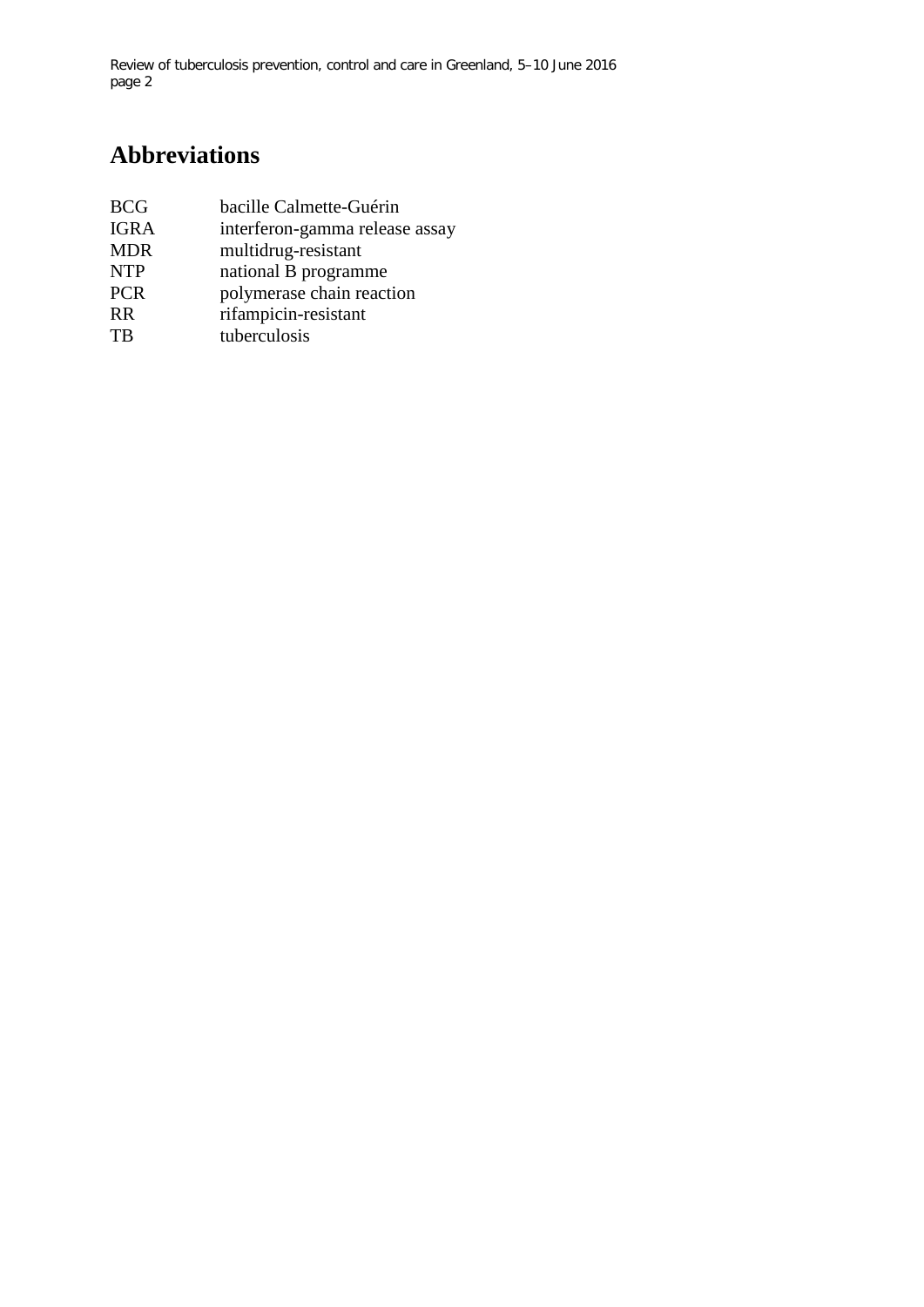# <span id="page-4-0"></span>**Abbreviations**

| bacille Calmette-Guérin        |
|--------------------------------|
| interferon-gamma release assay |
| multidrug-resistant            |
| national B programme           |
| polymerase chain reaction      |
| rifampicin-resistant           |
| tuberculosis                   |
|                                |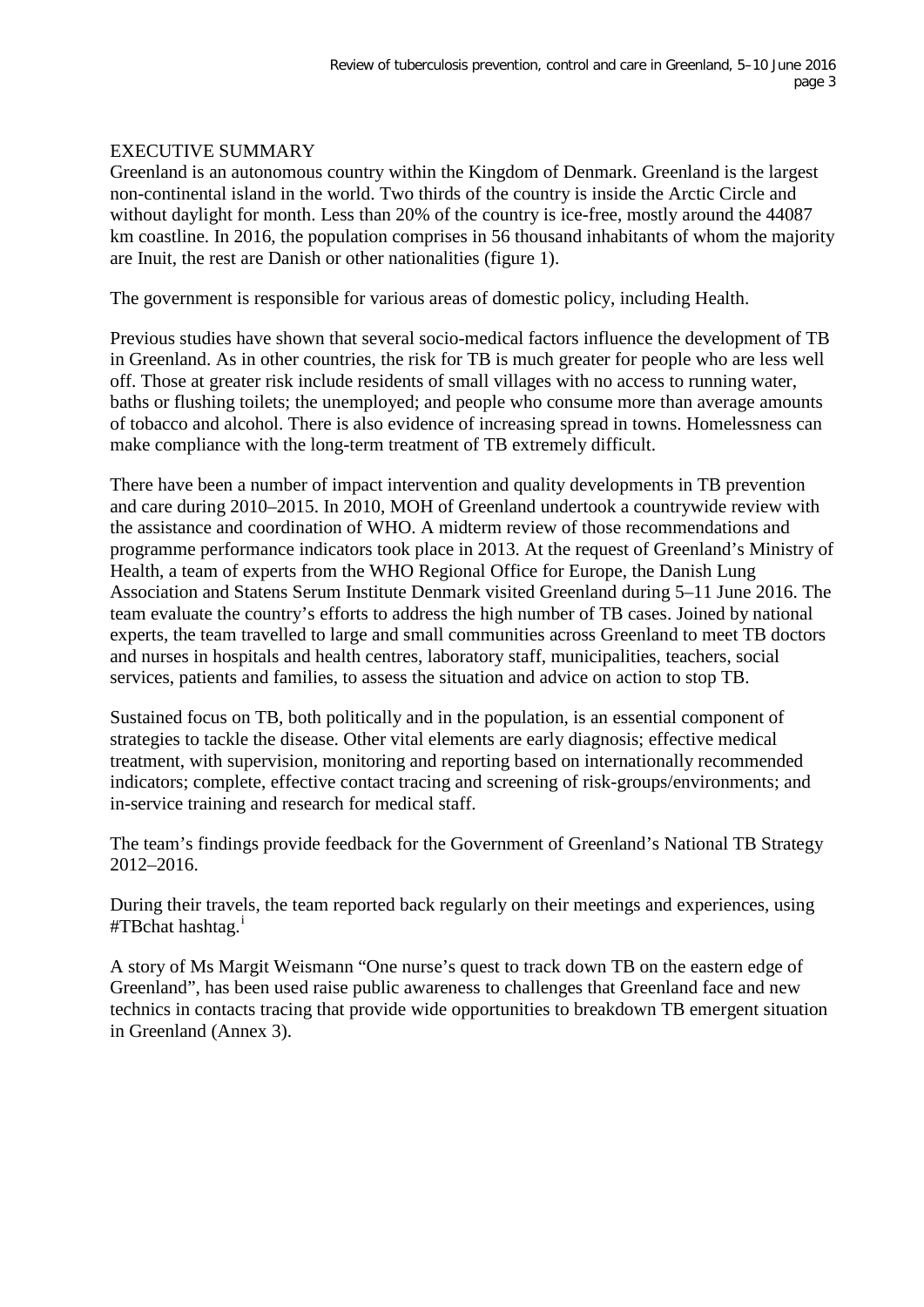#### EXECUTIVE SUMMARY

Greenland is an autonomous country within the Kingdom of Denmark. Greenland is the largest non-continental island in the world. Two thirds of the country is inside the Arctic Circle and without daylight for month. Less than 20% of the country is ice-free, mostly around the 44087 km coastline. In 2016, the population comprises in 56 thousand inhabitants of whom the majority are Inuit, the rest are Danish or other nationalities (figure 1).

The government is responsible for various areas of domestic policy, including Health.

Previous studies have shown that several socio-medical factors influence the development of TB in Greenland. As in other countries, the risk for TB is much greater for people who are less well off. Those at greater risk include residents of small villages with no access to running water, baths or flushing toilets; the unemployed; and people who consume more than average amounts of tobacco and alcohol. There is also evidence of increasing spread in towns. Homelessness can make compliance with the long-term treatment of TB extremely difficult.

There have been a number of impact intervention and quality developments in TB prevention and care during 2010–2015. In 2010, MOH of Greenland undertook a countrywide review with the assistance and coordination of WHO. A midterm review of those recommendations and programme performance indicators took place in 2013. At the request of Greenland's Ministry of Health, a team of experts from the WHO Regional Office for Europe, the Danish Lung Association and Statens Serum Institute Denmark visited Greenland during 5–11 June 2016. The team evaluate the country's efforts to address the high number of TB cases. Joined by national experts, the team travelled to large and small communities across Greenland to meet TB doctors and nurses in hospitals and health centres, laboratory staff, municipalities, teachers, social services, patients and families, to assess the situation and advice on action to stop TB.

Sustained focus on TB, both politically and in the population, is an essential component of strategies to tackle the disease. Other vital elements are early diagnosis; effective medical treatment, with supervision, monitoring and reporting based on internationally recommended indicators; complete, effective contact tracing and screening of risk-groups/environments; and in-service training and research for medical staff.

The team's findings provide feedback for the Government of Greenland's National TB Strategy 2012–2016.

During their travels, the team reported back regularly on their meetings and experiences, using #TBchat hashtag.<sup>[i](#page-31-1)</sup>

A story of Ms Margit Weismann "One nurse's quest to track down TB on the eastern edge of Greenland", has been used raise public awareness to challenges that Greenland face and new technics in contacts tracing that provide wide opportunities to breakdown TB emergent situation in Greenland [\(Annex 3\)](#page-29-0).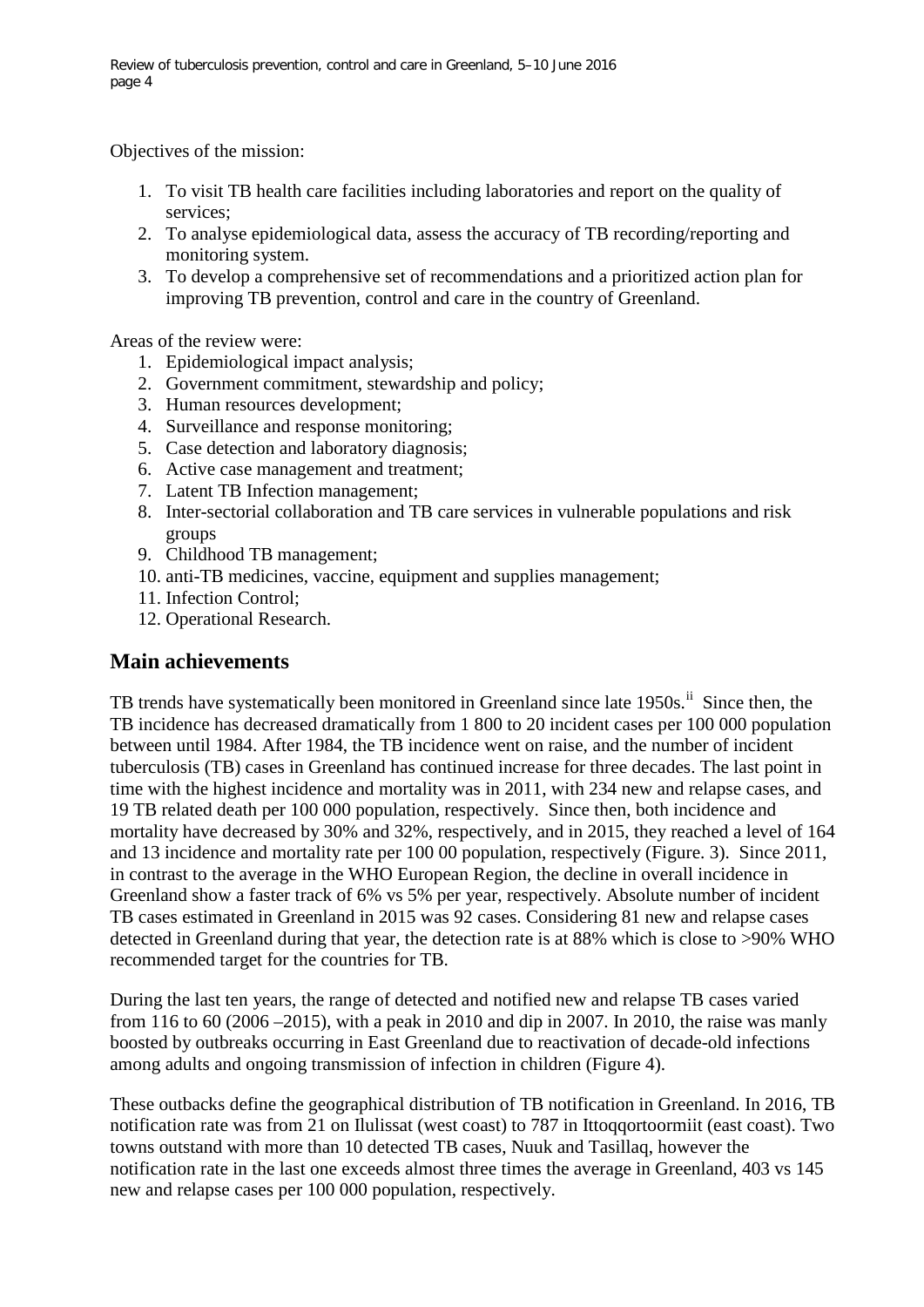Objectives of the mission:

- 1. To visit TB health care facilities including laboratories and report on the quality of services;
- 2. To analyse epidemiological data, assess the accuracy of TB recording/reporting and monitoring system.
- 3. To develop a comprehensive set of recommendations and a prioritized action plan for improving TB prevention, control and care in the country of Greenland.

Areas of the review were:

- 1. Epidemiological impact analysis;
- 2. Government commitment, stewardship and policy;
- 3. Human resources development;
- 4. Surveillance and response monitoring;
- 5. Case detection and laboratory diagnosis;
- 6. Active case management and treatment;
- 7. Latent TB Infection management;
- 8. Inter-sectorial collaboration and TB care services in vulnerable populations and risk groups
- 9. Childhood TB management;
- 10. anti-TB medicines, vaccine, equipment and supplies management;
- 11. Infection Control;
- 12. Operational Research.

#### <span id="page-6-0"></span>**Main achievements**

TB trends have systematically been monitored in Greenland since late 1950s.<sup>[ii](#page-31-2)</sup> Since then, the TB incidence has decreased dramatically from 1 800 to 20 incident cases per 100 000 population between until 1984. After 1984, the TB incidence went on raise, and the number of incident tuberculosis (TB) cases in Greenland has continued increase for three decades. The last point in time with the highest incidence and mortality was in 2011, with 234 new and relapse cases, and 19 TB related death per 100 000 population, respectively. Since then, both incidence and mortality have decreased by 30% and 32%, respectively, and in 2015, they reached a level of 164 and 13 incidence and mortality rate per 100 00 population, respectively (Figure. 3). Since 2011, in contrast to the average in the WHO European Region, the decline in overall incidence in Greenland show a faster track of 6% vs 5% per year, respectively. Absolute number of incident TB cases estimated in Greenland in 2015 was 92 cases. Considering 81 new and relapse cases detected in Greenland during that year, the detection rate is at 88% which is close to >90% WHO recommended target for the countries for TB.

During the last ten years, the range of detected and notified new and relapse TB cases varied from 116 to 60 (2006 –2015), with a peak in 2010 and dip in 2007. In 2010, the raise was manly boosted by outbreaks occurring in East Greenland due to reactivation of decade-old infections among adults and ongoing transmission of infection in children (Figure 4).

These outbacks define the geographical distribution of TB notification in Greenland. In 2016, TB notification rate was from 21 on Ilulissat (west coast) to 787 in Ittoqqortoormiit (east coast). Two towns outstand with more than 10 detected TB cases, Nuuk and Tasillaq, however the notification rate in the last one exceeds almost three times the average in Greenland, 403 vs 145 new and relapse cases per 100 000 population, respectively.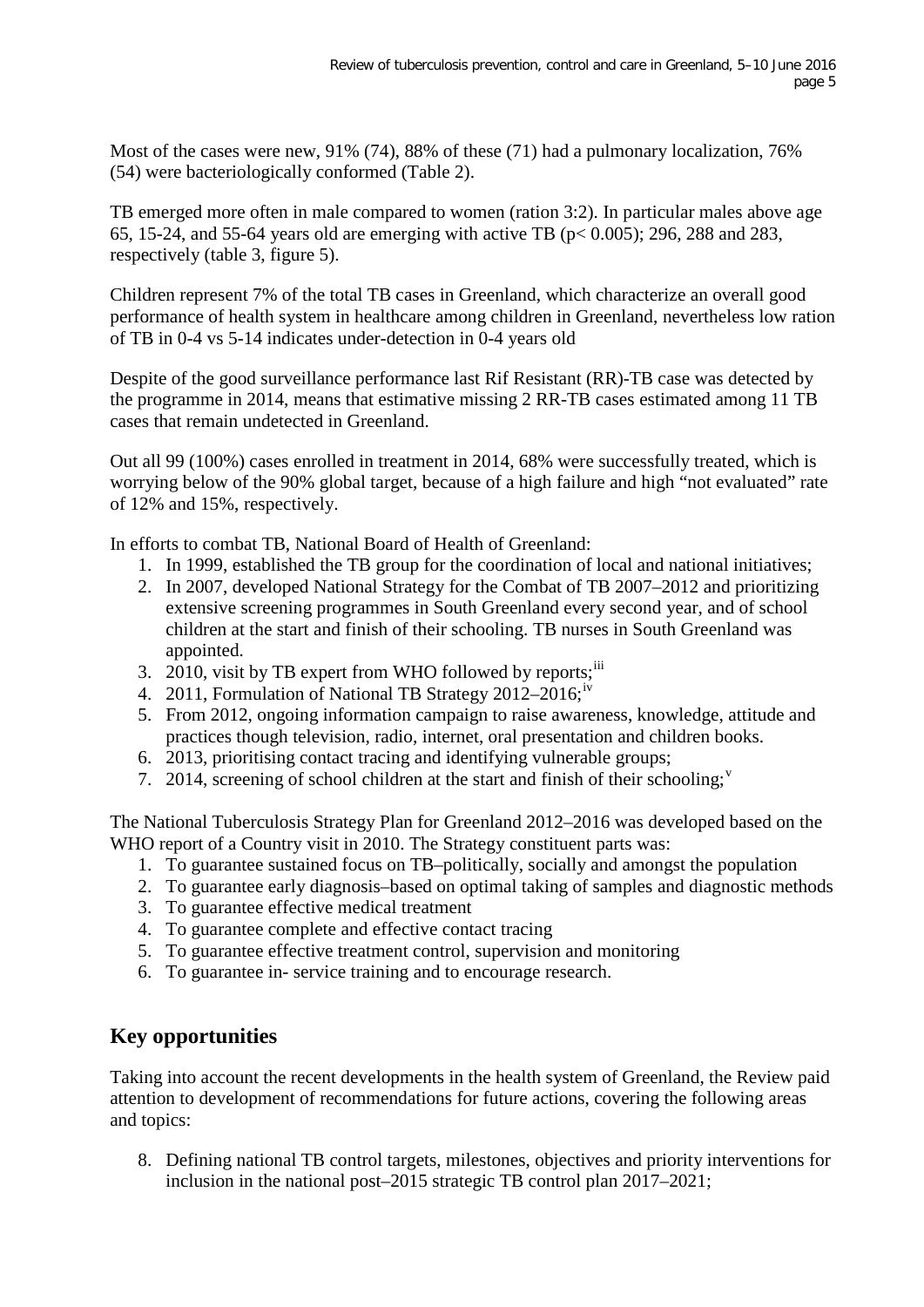Most of the cases were new, 91% (74), 88% of these (71) had a pulmonary localization, 76% (54) were bacteriologically conformed (Table 2).

TB emerged more often in male compared to women (ration 3:2). In particular males above age 65, 15-24, and 55-64 years old are emerging with active TB (p< 0.005); 296, 288 and 283, respectively (table 3, figure 5).

Children represent 7% of the total TB cases in Greenland, which characterize an overall good performance of health system in healthcare among children in Greenland, nevertheless low ration of TB in 0-4 vs 5-14 indicates under-detection in 0-4 years old

Despite of the good surveillance performance last Rif Resistant (RR)-TB case was detected by the programme in 2014, means that estimative missing 2 RR-TB cases estimated among 11 TB cases that remain undetected in Greenland.

Out all 99 (100%) cases enrolled in treatment in 2014, 68% were successfully treated, which is worrying below of the 90% global target, because of a high failure and high "not evaluated" rate of 12% and 15%, respectively.

In efforts to combat TB, National Board of Health of Greenland:

- 1. In 1999, established the TB group for the coordination of local and national initiatives;
- 2. In 2007, developed National Strategy for the Combat of TB 2007–2012 and prioritizing extensive screening programmes in South Greenland every second year, and of school children at the start and finish of their schooling. TB nurses in South Greenland was appointed.
- 3. 2010, visit by TB expert from WHO followed by reports;  $\ddot{a}$
- 4. 2011, Formulation of National TB Strategy 2012–2016;<sup>[iv](#page-31-4)</sup>
- 5. From 2012, ongoing information campaign to raise awareness, knowledge, attitude and practices though television, radio, internet, oral presentation and children books.
- 6. 2013, prioritising contact tracing and identifying vulnerable groups;
- 7. 2014, screening of school children at the start and finish of their schooling;

The National Tuberculosis Strategy Plan for Greenland 2012–2016 was developed based on the WHO report of a Country visit in 2010. The Strategy constituent parts was:

- 1. To guarantee sustained focus on TB–politically, socially and amongst the population
- 2. To guarantee early diagnosis–based on optimal taking of samples and diagnostic methods
- 3. To guarantee effective medical treatment
- 4. To guarantee complete and effective contact tracing
- 5. To guarantee effective treatment control, supervision and monitoring
- 6. To guarantee in- service training and to encourage research.

## <span id="page-7-0"></span>**Key opportunities**

Taking into account the recent developments in the health system of Greenland, the Review paid attention to development of recommendations for future actions, covering the following areas and topics:

8. Defining national TB control targets, milestones, objectives and priority interventions for inclusion in the national post–2015 strategic TB control plan 2017–2021;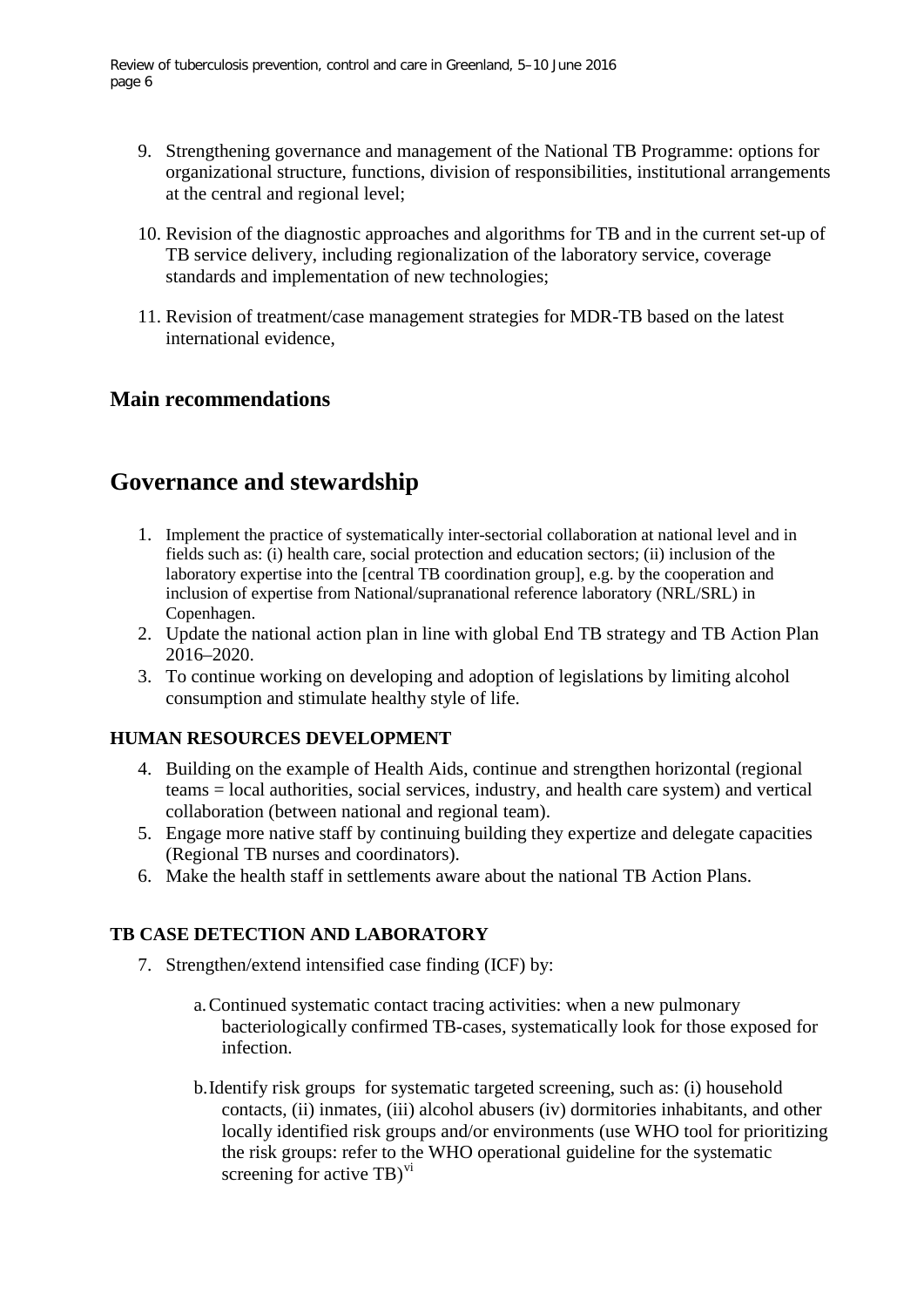- 9. Strengthening governance and management of the National TB Programme: options for organizational structure, functions, division of responsibilities, institutional arrangements at the central and regional level;
- 10. Revision of the diagnostic approaches and algorithms for TB and in the current set-up of TB service delivery, including regionalization of the laboratory service, coverage standards and implementation of new technologies;
- 11. Revision of treatment/case management strategies for MDR-TB based on the latest international evidence,

#### <span id="page-8-0"></span>**Main recommendations**

# <span id="page-8-1"></span>**Governance and stewardship**

- 1. Implement the practice of systematically inter-sectorial collaboration at national level and in fields such as: (i) health care, social protection and education sectors; (ii) inclusion of the laboratory expertise into the [central TB coordination group], e.g. by the cooperation and inclusion of expertise from National/supranational reference laboratory (NRL/SRL) in Copenhagen.
- 2. Update the national action plan in line with global End TB strategy and TB Action Plan 2016–2020.
- 3. To continue working on developing and adoption of legislations by limiting alcohol consumption and stimulate healthy style of life.

#### **HUMAN RESOURCES DEVELOPMENT**

- 4. Building on the example of Health Aids, continue and strengthen horizontal (regional teams = local authorities, social services, industry, and health care system) and vertical collaboration (between national and regional team).
- 5. Engage more native staff by continuing building they expertize and delegate capacities (Regional TB nurses and coordinators).
- 6. Make the health staff in settlements aware about the national TB Action Plans.

#### **TB CASE DETECTION AND LABORATORY**

- 7. Strengthen/extend intensified case finding (ICF) by:
	- a.Continued systematic contact tracing activities: when a new pulmonary bacteriologically confirmed TB-cases, systematically look for those exposed for infection.
	- b.Identify risk groups for systematic targeted screening, such as: (i) household contacts, (ii) inmates, (iii) alcohol abusers (iv) dormitories inhabitants, and other locally identified risk groups and/or environments (use WHO tool for prioritizing the risk groups: refer to the WHO operational guideline for the systematic screening for active TB $y^{vi}$  $y^{vi}$  $y^{vi}$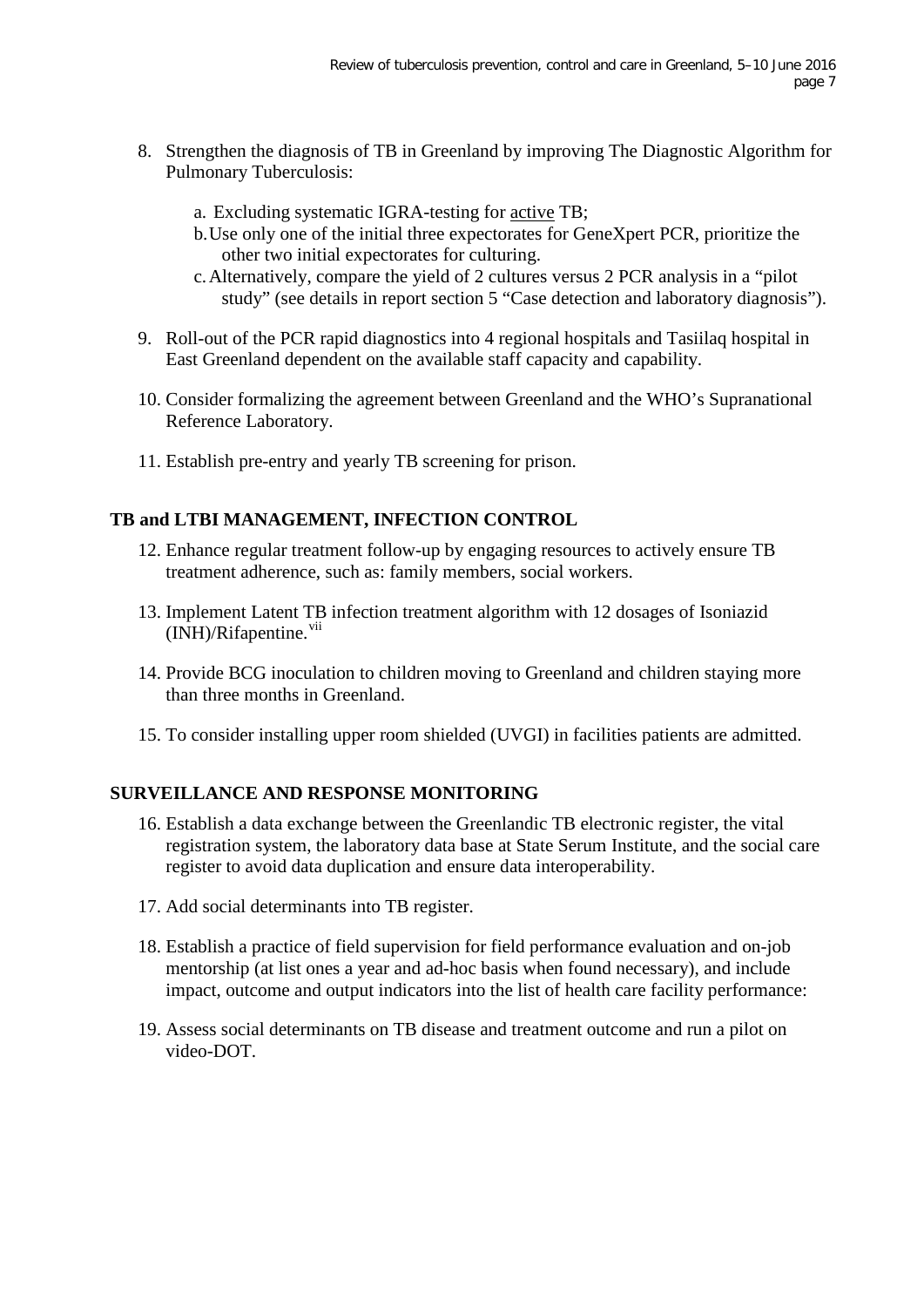- 8. Strengthen the diagnosis of TB in Greenland by improving The Diagnostic Algorithm for Pulmonary Tuberculosis:
	- a. Excluding systematic IGRA-testing for active TB;
	- b.Use only one of the initial three expectorates for GeneXpert PCR, prioritize the other two initial expectorates for culturing.
	- c.Alternatively, compare the yield of 2 cultures versus 2 PCR analysis in a "pilot study" (see details in report section 5 "Case detection and laboratory diagnosis").
- 9. Roll-out of the PCR rapid diagnostics into 4 regional hospitals and Tasiilaq hospital in East Greenland dependent on the available staff capacity and capability.
- 10. Consider formalizing the agreement between Greenland and the WHO's Supranational Reference Laboratory.
- 11. Establish pre-entry and yearly TB screening for prison.

#### **TB and LTBI MANAGEMENT, INFECTION CONTROL**

- 12. Enhance regular treatment follow-up by engaging resources to actively ensure TB treatment adherence, such as: family members, social workers.
- 13. Implement Latent TB infection treatment algorithm with 12 dosages of Isoniazid  $(INH)/R$ ifapentine.<sup>[vii](#page-31-7)</sup>
- 14. Provide BCG inoculation to children moving to Greenland and children staying more than three months in Greenland.
- 15. To consider installing upper room shielded (UVGI) in facilities patients are admitted.

#### **SURVEILLANCE AND RESPONSE MONITORING**

- 16. Establish a data exchange between the Greenlandic TB electronic register, the vital registration system, the laboratory data base at State Serum Institute, and the social care register to avoid data duplication and ensure data interoperability.
- 17. Add social determinants into TB register.
- 18. Establish a practice of field supervision for field performance evaluation and on-job mentorship (at list ones a year and ad-hoc basis when found necessary), and include impact, outcome and output indicators into the list of health care facility performance:
- 19. Assess social determinants on TB disease and treatment outcome and run a pilot on video-DOT.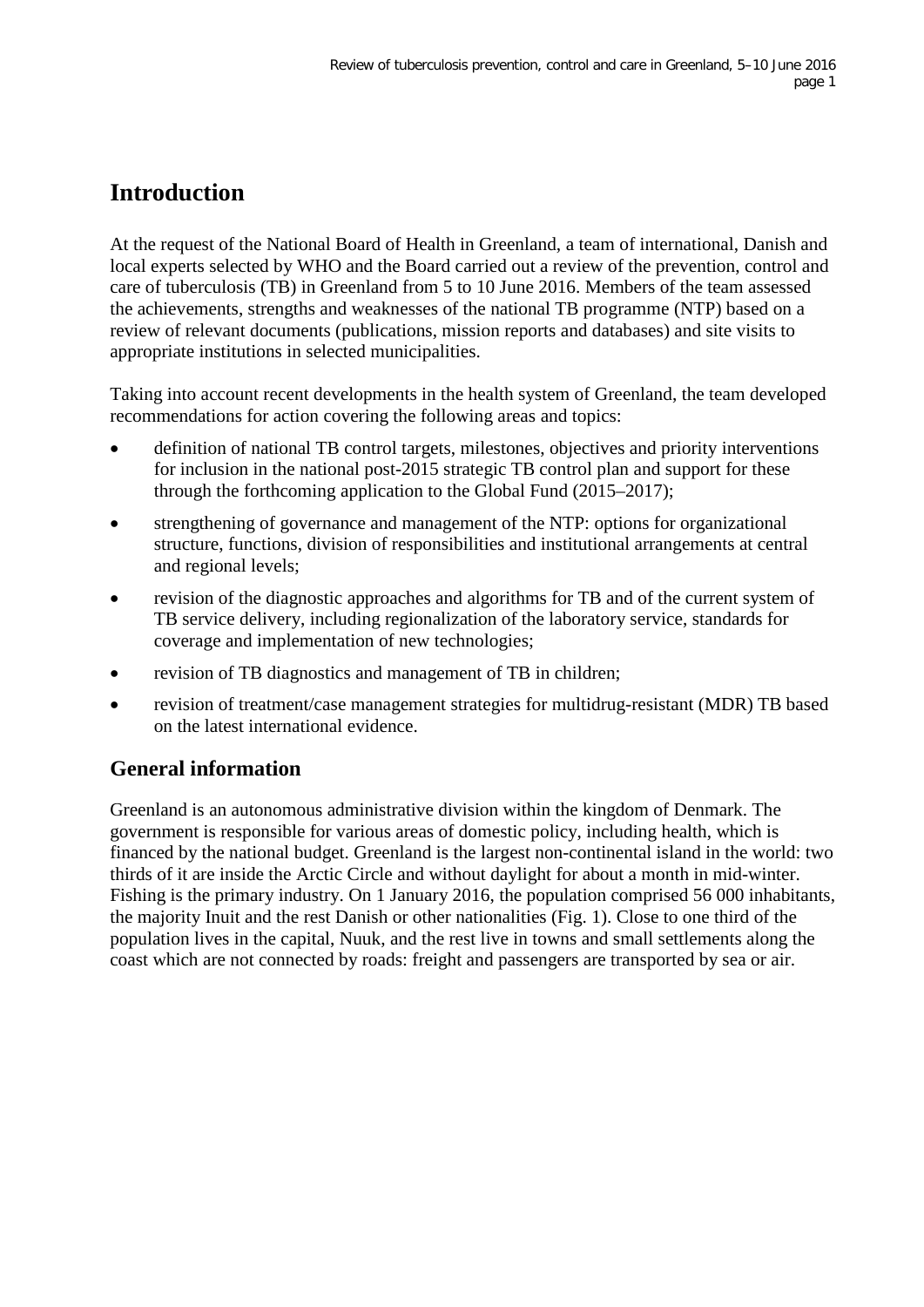# <span id="page-11-0"></span>**Introduction**

At the request of the National Board of Health in Greenland, a team of international, Danish and local experts selected by WHO and the Board carried out a review of the prevention, control and care of tuberculosis (TB) in Greenland from 5 to 10 June 2016. Members of the team assessed the achievements, strengths and weaknesses of the national TB programme (NTP) based on a review of relevant documents (publications, mission reports and databases) and site visits to appropriate institutions in selected municipalities.

Taking into account recent developments in the health system of Greenland, the team developed recommendations for action covering the following areas and topics:

- definition of national TB control targets, milestones, objectives and priority interventions for inclusion in the national post-2015 strategic TB control plan and support for these through the forthcoming application to the Global Fund (2015–2017);
- strengthening of governance and management of the NTP: options for organizational structure, functions, division of responsibilities and institutional arrangements at central and regional levels;
- revision of the diagnostic approaches and algorithms for TB and of the current system of TB service delivery, including regionalization of the laboratory service, standards for coverage and implementation of new technologies;
- revision of TB diagnostics and management of TB in children;
- revision of treatment/case management strategies for multidrug-resistant (MDR) TB based on the latest international evidence.

## <span id="page-11-1"></span>**General information**

Greenland is an autonomous administrative division within the kingdom of Denmark. The government is responsible for various areas of domestic policy, including health, which is financed by the national budget. Greenland is the largest non-continental island in the world: two thirds of it are inside the Arctic Circle and without daylight for about a month in mid-winter. Fishing is the primary industry. On 1 January 2016, the population comprised 56 000 inhabitants, the majority Inuit and the rest Danish or other nationalities (Fig. 1). Close to one third of the population lives in the capital, Nuuk, and the rest live in towns and small settlements along the coast which are not connected by roads: freight and passengers are transported by sea or air.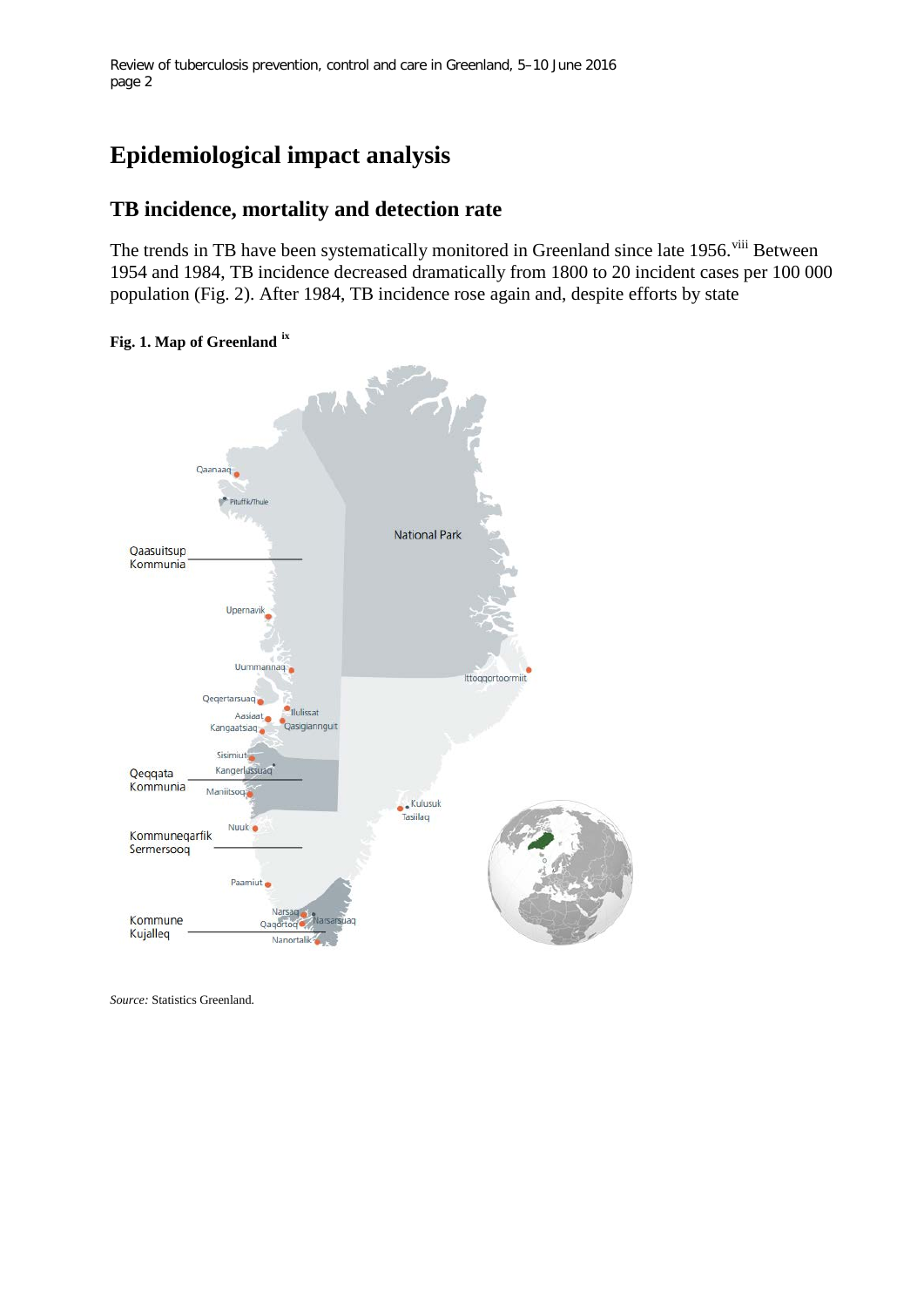# <span id="page-12-0"></span>**Epidemiological impact analysis**

#### <span id="page-12-1"></span>**TB incidence, mortality and detection rate**

The trends in TB have been systematically monitored in Greenland since late 1956.<sup>[viii](#page-31-8)</sup> Between 1954 and 1984, TB incidence decreased dramatically from 1800 to 20 incident cases per 100 000 population (Fig. 2). After 1984, TB incidence rose again and, despite efforts by state



<span id="page-12-2"></span>

*Source:* Statistics Greenland*.*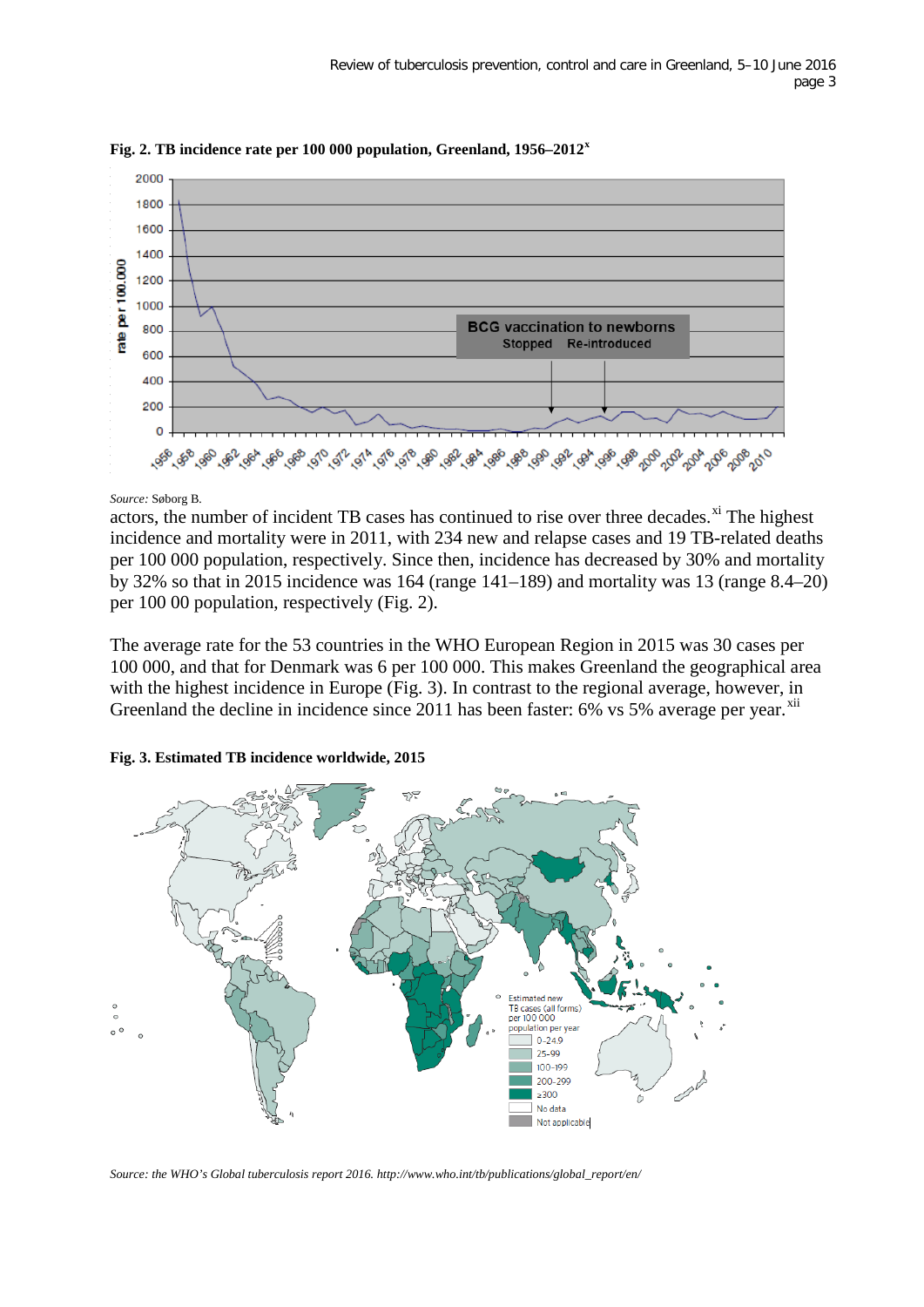

**Fig. 2. TB incidence rate per 100 000 population, Greenland, 1956–2012[x](#page-31-10)**

*Source:* Søborg B*.*

actors, the number of incident TB cases has continued to rise over three decades. $^{\text{xi}}$  $^{\text{xi}}$  $^{\text{xi}}$  The highest incidence and mortality were in 2011, with 234 new and relapse cases and 19 TB-related deaths per 100 000 population, respectively. Since then, incidence has decreased by 30% and mortality by 32% so that in 2015 incidence was 164 (range 141–189) and mortality was 13 (range 8.4–20) per 100 00 population, respectively (Fig. 2).

The average rate for the 53 countries in the WHO European Region in 2015 was 30 cases per 100 000, and that for Denmark was 6 per 100 000. This makes Greenland the geographical area with the highest incidence in Europe (Fig. 3). In contrast to the regional average, however, in Greenland the decline in incidence since  $2011$  has been faster: 6% vs 5% average per year.<sup>[xii](#page-31-12)</sup>

#### <span id="page-13-0"></span>**Fig. 3. Estimated TB incidence worldwide, 2015**



*Source: the WHO's Global tuberculosis report 2016. http://www.who.int/tb/publications/global\_report/en/*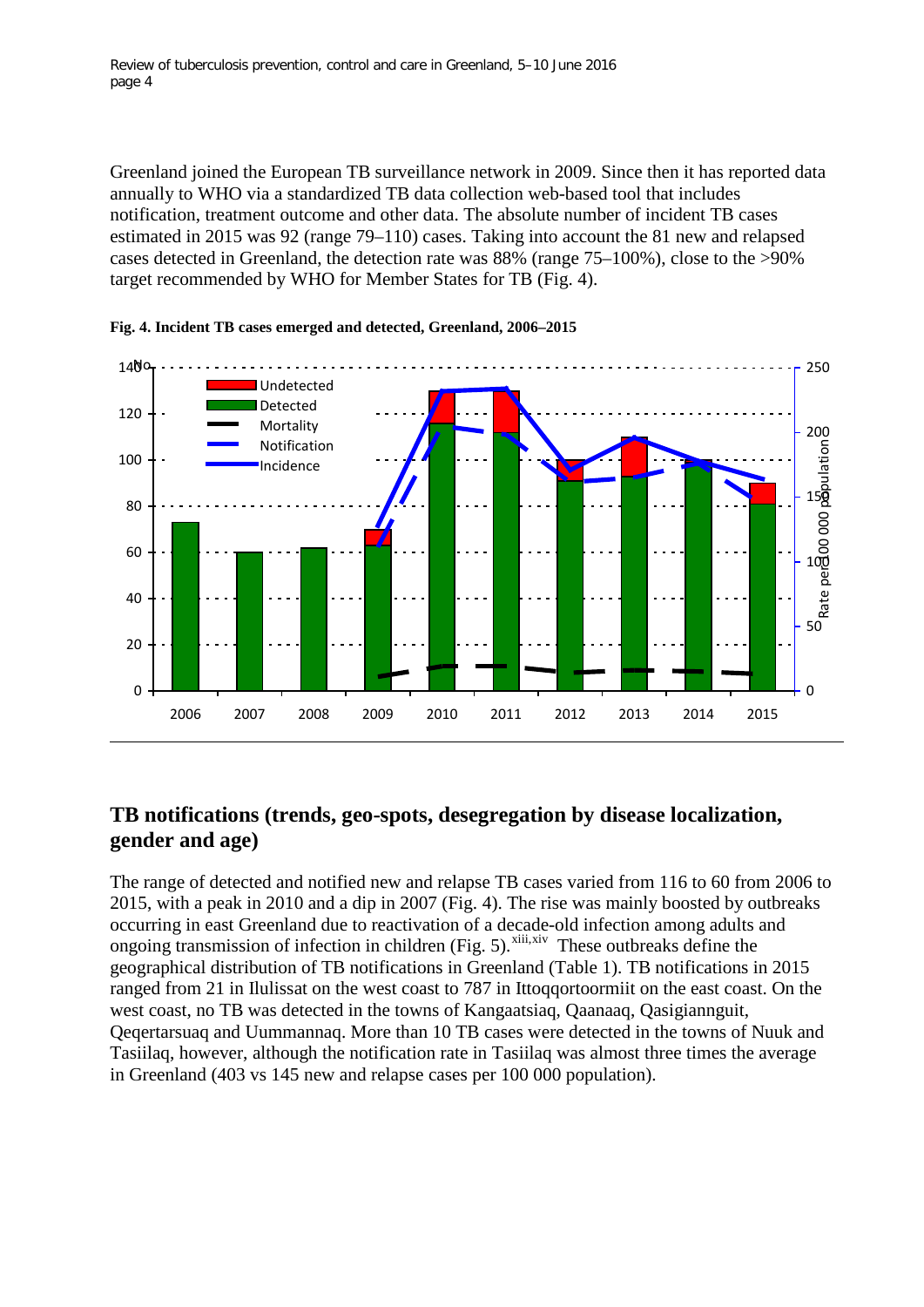Greenland joined the European TB surveillance network in 2009. Since then it has reported data annually to WHO via a standardized TB data collection web-based tool that includes notification, treatment outcome and other data. The absolute number of incident TB cases estimated in 2015 was 92 (range 79–110) cases. Taking into account the 81 new and relapsed cases detected in Greenland, the detection rate was 88% (range 75–100%), close to the >90% target recommended by WHO for Member States for TB (Fig. 4).





#### <span id="page-14-0"></span>**TB notifications (trends, geo-spots, desegregation by disease localization, gender and age)**

The range of detected and notified new and relapse TB cases varied from 116 to 60 from 2006 to 2015, with a peak in 2010 and a dip in 2007 (Fig. 4). The rise was mainly boosted by outbreaks occurring in east Greenland due to reactivation of a decade-old infection among adults and ongoing transmission of infection in children (Fig.  $5$ ).<sup>[xiii,](#page-31-13)[xiv](#page-31-14)</sup> These outbreaks define the geographical distribution of TB notifications in Greenland (Table 1). TB notifications in 2015 ranged from 21 in Ilulissat on the west coast to 787 in Ittoqqortoormiit on the east coast. On the west coast, no TB was detected in the towns of Kangaatsiaq, Qaanaaq, Qasigiannguit, Qeqertarsuaq and Uummannaq. More than 10 TB cases were detected in the towns of Nuuk and Tasiilaq, however, although the notification rate in Tasiilaq was almost three times the average in Greenland (403 vs 145 new and relapse cases per 100 000 population).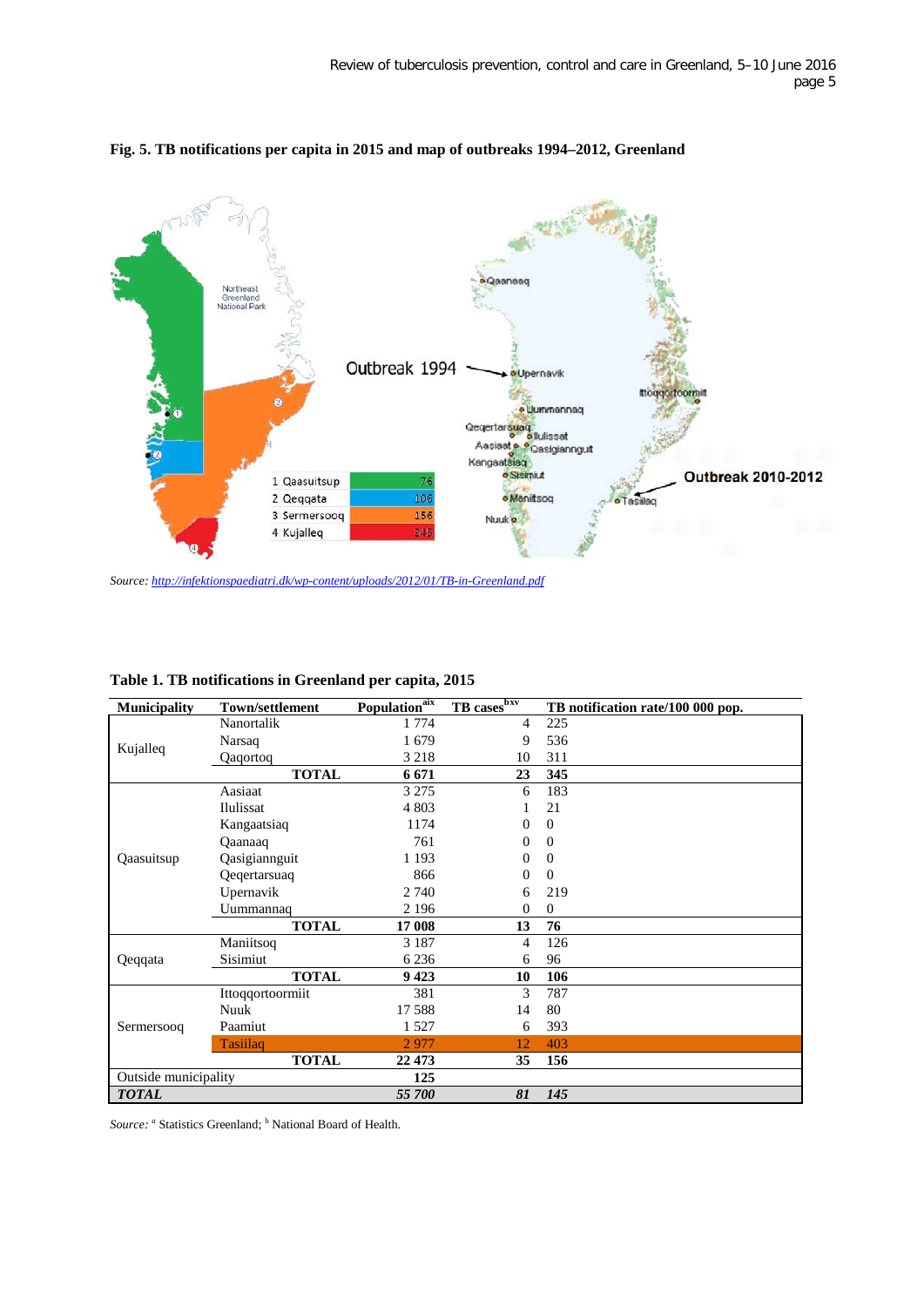

**Fig. 5. TB notifications per capita in 2015 and map of outbreaks 1994–2012, Greenland**

*Source:<http://infektionspaediatri.dk/wp-content/uploads/2012/01/TB-in-Greenland.pdf>*

| <b>Municipality</b>  | Town/settlement  | Population <sup>aix</sup> | TB casesbxv    | TB notification rate/100 000 pop. |
|----------------------|------------------|---------------------------|----------------|-----------------------------------|
|                      | Nanortalik       | 1 774                     | 4              | 225                               |
|                      | Narsaq           | 1679                      | 9              | 536                               |
| Kujalleq             | Qaqortoq         | 3 2 1 8                   | 10             | 311                               |
|                      | <b>TOTAL</b>     | 6 671                     | 23             | 345                               |
|                      | Aasiaat          | 3 2 7 5                   | 6              | 183                               |
|                      | Ilulissat        | 4 8 0 3                   |                | 21                                |
|                      | Kangaatsiaq      | 1174                      | $\Omega$       | $\theta$                          |
|                      | Qaanaaq          | 761                       | $\theta$       | $\Omega$                          |
| Qaasuitsup           | Qasigiannguit    | 1 1 9 3                   | 0              | $\Omega$                          |
|                      | Qeqertarsuaq     | 866                       | $\Omega$       | $\Omega$                          |
|                      | Upernavik        | 2 740                     | 6              | 219                               |
|                      | Uummannaq        | 2 1 9 6                   | $\Omega$       | $\mathbf{0}$                      |
|                      | <b>TOTAL</b>     | 17 008                    | 13             | 76                                |
|                      | Maniitsoq        | 3 1 8 7                   | $\overline{4}$ | 126                               |
| Qeqqata              | Sisimiut         | 6 2 3 6                   | 6              | 96                                |
|                      | <b>TOTAL</b>     | 9423                      | 10             | 106                               |
| Sermersoog           | Ittoqqortoormiit | 381                       | 3              | 787                               |
|                      | Nuuk             | 17588                     | 14             | 80                                |
|                      | Paamiut          | 1 5 2 7                   | 6              | 393                               |
|                      | <b>Tasiilaq</b>  | 2977                      | 12             | 403                               |
|                      | <b>TOTAL</b>     | 22 473                    | 35             | 156                               |
| Outside municipality |                  | 125                       |                |                                   |
| <b>TOTAL</b>         |                  | 55 700                    | 81             | 145                               |

**Table 1. TB notifications in Greenland per capita, 2015**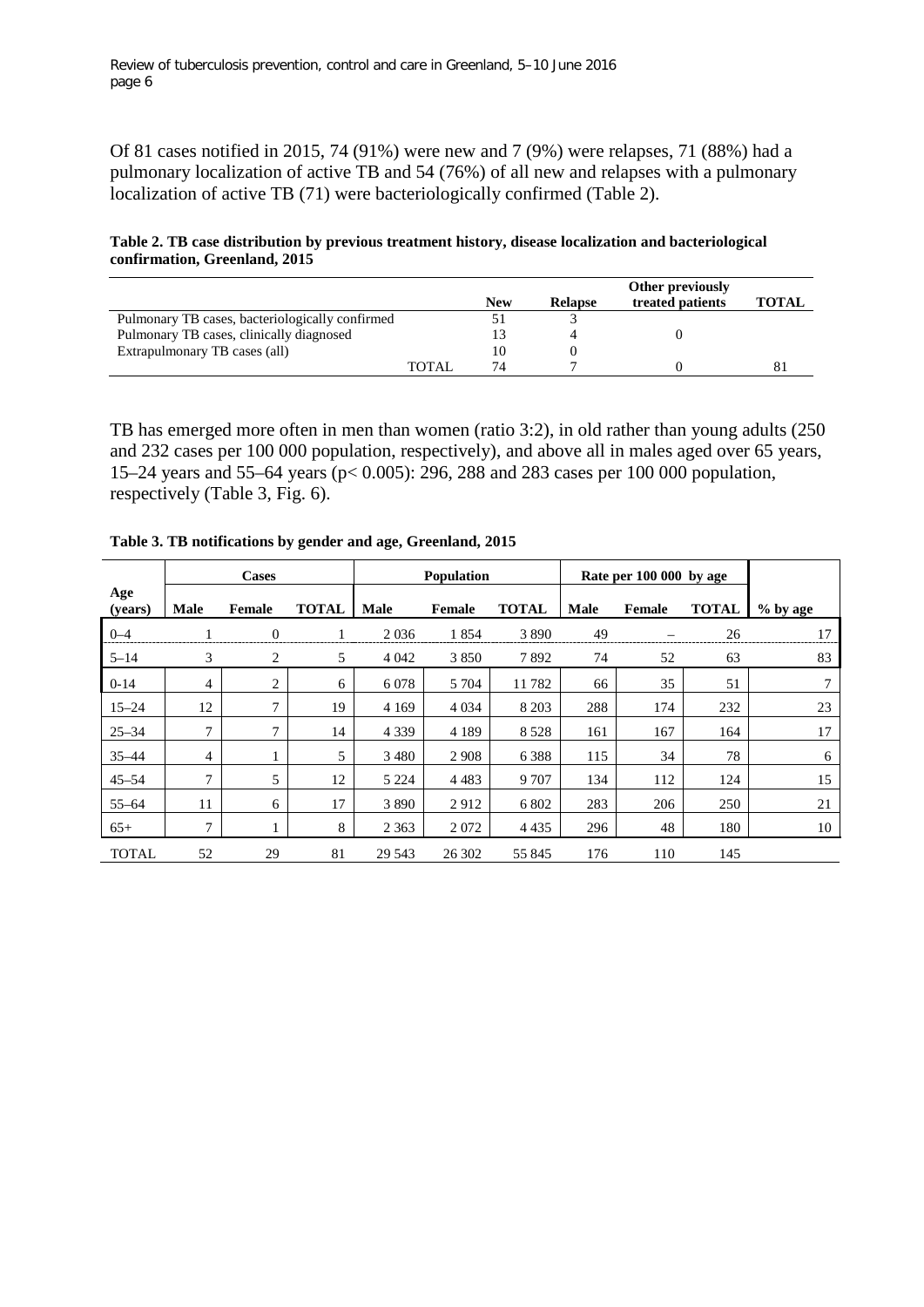Of 81 cases notified in 2015, 74 (91%) were new and 7 (9%) were relapses, 71 (88%) had a pulmonary localization of active TB and 54 (76%) of all new and relapses with a pulmonary localization of active TB (71) were bacteriologically confirmed (Table 2).

**Table 2. TB case distribution by previous treatment history, disease localization and bacteriological confirmation, Greenland, 2015** 

|                                                 |              |            |                | Other previously |              |
|-------------------------------------------------|--------------|------------|----------------|------------------|--------------|
|                                                 |              | <b>New</b> | <b>Relapse</b> | treated patients | <b>TOTAL</b> |
| Pulmonary TB cases, bacteriologically confirmed |              |            |                |                  |              |
| Pulmonary TB cases, clinically diagnosed        |              |            |                |                  |              |
| Extrapulmonary TB cases (all)                   |              |            |                |                  |              |
|                                                 | <b>TOTAL</b> | 74         |                |                  |              |

TB has emerged more often in men than women (ratio 3:2), in old rather than young adults (250 and 232 cases per 100 000 population, respectively), and above all in males aged over 65 years, 15–24 years and 55–64 years (p< 0.005): 296, 288 and 283 cases per 100 000 population, respectively (Table 3, Fig. 6).

|                |                | <b>Cases</b> |              | Population |         |              | Rate per 100 000 by age |        |              |            |
|----------------|----------------|--------------|--------------|------------|---------|--------------|-------------------------|--------|--------------|------------|
| Age<br>(years) | Male           | Female       | <b>TOTAL</b> | Male       | Female  | <b>TOTAL</b> | <b>Male</b>             | Female | <b>TOTAL</b> | $%$ by age |
| $0 - 4$        |                | $\theta$     |              | 2 0 3 6    | 1854    | 3890         | 49                      |        | 26           | 17         |
| $5 - 14$       | 3              | 2            | 5            | 4 0 4 2    | 3850    | 7892         | 74                      | 52     | 63           | 83         |
| $0 - 14$       | 4              | 2            | 6            | 6078       | 5 704   | 11782        | 66                      | 35     | 51           | 7          |
| $15 - 24$      | 12             | 7            | 19           | 4 1 6 9    | 4 0 3 4 | 8 2 0 3      | 288                     | 174    | 232          | 23         |
| $25 - 34$      | 7              | 7            | 14           | 4 3 3 9    | 4 1 8 9 | 8528         | 161                     | 167    | 164          | 17         |
| $35 - 44$      | $\overline{4}$ |              | 5            | 3 4 8 0    | 2 9 0 8 | 6388         | 115                     | 34     | 78           | 6          |
| $45 - 54$      | 7              | 5            | 12           | 5 2 2 4    | 4 4 8 3 | 9 707        | 134                     | 112    | 124          | 15         |
| $55 - 64$      | 11             | 6            | 17           | 3890       | 2912    | 6 802        | 283                     | 206    | 250          | 21         |
| $65+$          | 7              |              | 8            | 2 3 6 3    | 2072    | 4 4 3 5      | 296                     | 48     | 180          | 10         |
| <b>TOTAL</b>   | 52             | 29           | 81           | 29 5 43    | 26 302  | 55 845       | 176                     | 110    | 145          |            |

**Table 3. TB notifications by gender and age, Greenland, 2015**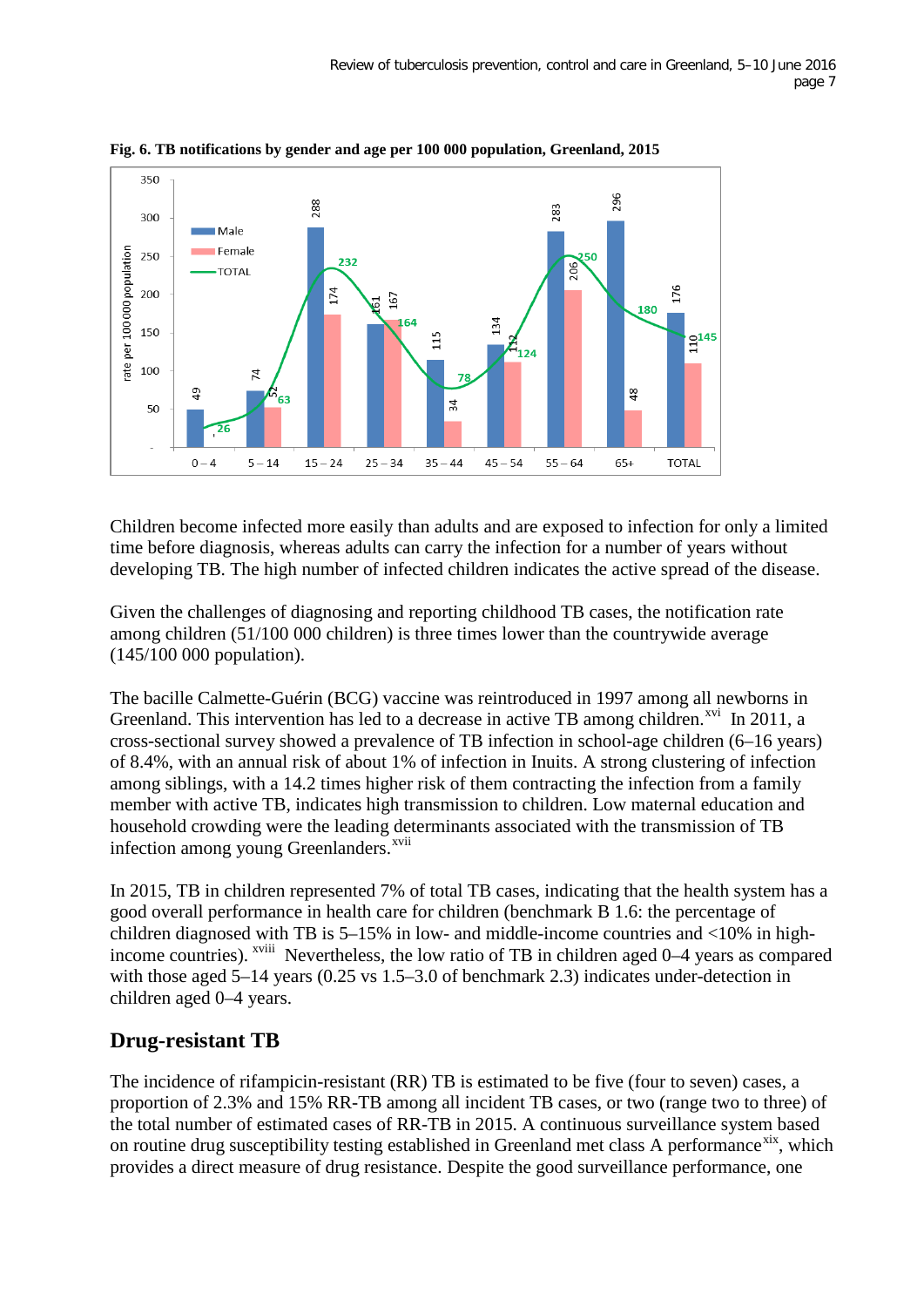

**Fig. 6. TB notifications by gender and age per 100 000 population, Greenland, 2015**

Children become infected more easily than adults and are exposed to infection for only a limited time before diagnosis, whereas adults can carry the infection for a number of years without developing TB. The high number of infected children indicates the active spread of the disease.

Given the challenges of diagnosing and reporting childhood TB cases, the notification rate among children (51/100 000 children) is three times lower than the countrywide average (145/100 000 population).

The bacille Calmette-Guérin (BCG) vaccine was reintroduced in 1997 among all newborns in Greenland. This intervention has led to a decrease in active TB among children.<sup>xvi</sup> In 2011, a cross-sectional survey showed a prevalence of TB infection in school-age children (6–16 years) of 8.4%, with an annual risk of about 1% of infection in Inuits. A strong clustering of infection among siblings, with a 14.2 times higher risk of them contracting the infection from a family member with active TB, indicates high transmission to children. Low maternal education and household crowding were the leading determinants associated with the transmission of TB infection among young Greenlanders.<sup>[xvii](#page-31-17)</sup>

In 2015, TB in children represented 7% of total TB cases, indicating that the health system has a good overall performance in health care for children (benchmark B 1.6: the percentage of children diagnosed with TB is 5–15% in low- and middle-income countries and <10% in high[i](#page-31-18)ncome countries). <sup>xviii</sup> Nevertheless, the low ratio of TB in children aged 0–4 years as compared with those aged 5–14 years (0.25 vs 1.5–3.0 of benchmark 2.3) indicates under-detection in children aged 0–4 years.

## <span id="page-17-0"></span>**Drug-resistant TB**

The incidence of rifampicin-resistant (RR) TB is estimated to be five (four to seven) cases, a proportion of 2.3% and 15% RR-TB among all incident TB cases, or two (range two to three) of the total number of estimated cases of RR-TB in 2015. A continuous surveillance system based on routine drug susceptibility testing established in Greenland met class A performance<sup>xix</sup>, which provides a direct measure of drug resistance. Despite the good surveillance performance, one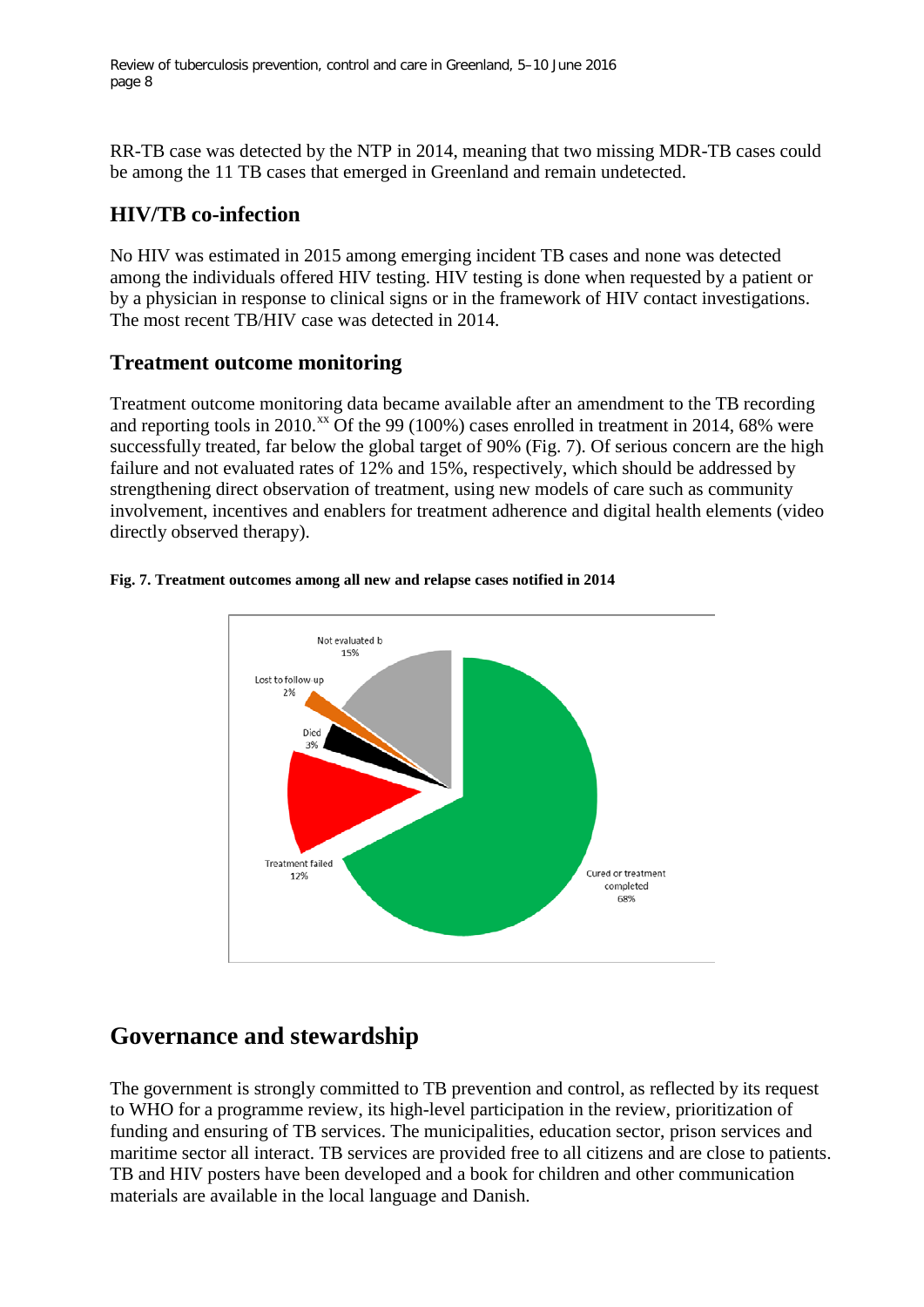RR-TB case was detected by the NTP in 2014, meaning that two missing MDR-TB cases could be among the 11 TB cases that emerged in Greenland and remain undetected.

## <span id="page-18-0"></span>**HIV/TB co-infection**

No HIV was estimated in 2015 among emerging incident TB cases and none was detected among the individuals offered HIV testing. HIV testing is done when requested by a patient or by a physician in response to clinical signs or in the framework of HIV contact investigations. The most recent TB/HIV case was detected in 2014.

#### <span id="page-18-1"></span>**Treatment outcome monitoring**

Treatment outcome monitoring data became available after an amendment to the TB recording and reporting tools in 2010.<sup>[xx](#page-31-20)</sup> Of the 99 (100%) cases enrolled in treatment in 2014, 68% were successfully treated, far below the global target of 90% (Fig. 7). Of serious concern are the high failure and not evaluated rates of 12% and 15%, respectively, which should be addressed by strengthening direct observation of treatment, using new models of care such as community involvement, incentives and enablers for treatment adherence and digital health elements (video directly observed therapy).



#### **Fig. 7. Treatment outcomes among all new and relapse cases notified in 2014**

## <span id="page-18-2"></span>**Governance and stewardship**

The government is strongly committed to TB prevention and control, as reflected by its request to WHO for a programme review, its high-level participation in the review, prioritization of funding and ensuring of TB services. The municipalities, education sector, prison services and maritime sector all interact. TB services are provided free to all citizens and are close to patients. TB and HIV posters have been developed and a book for children and other communication materials are available in the local language and Danish.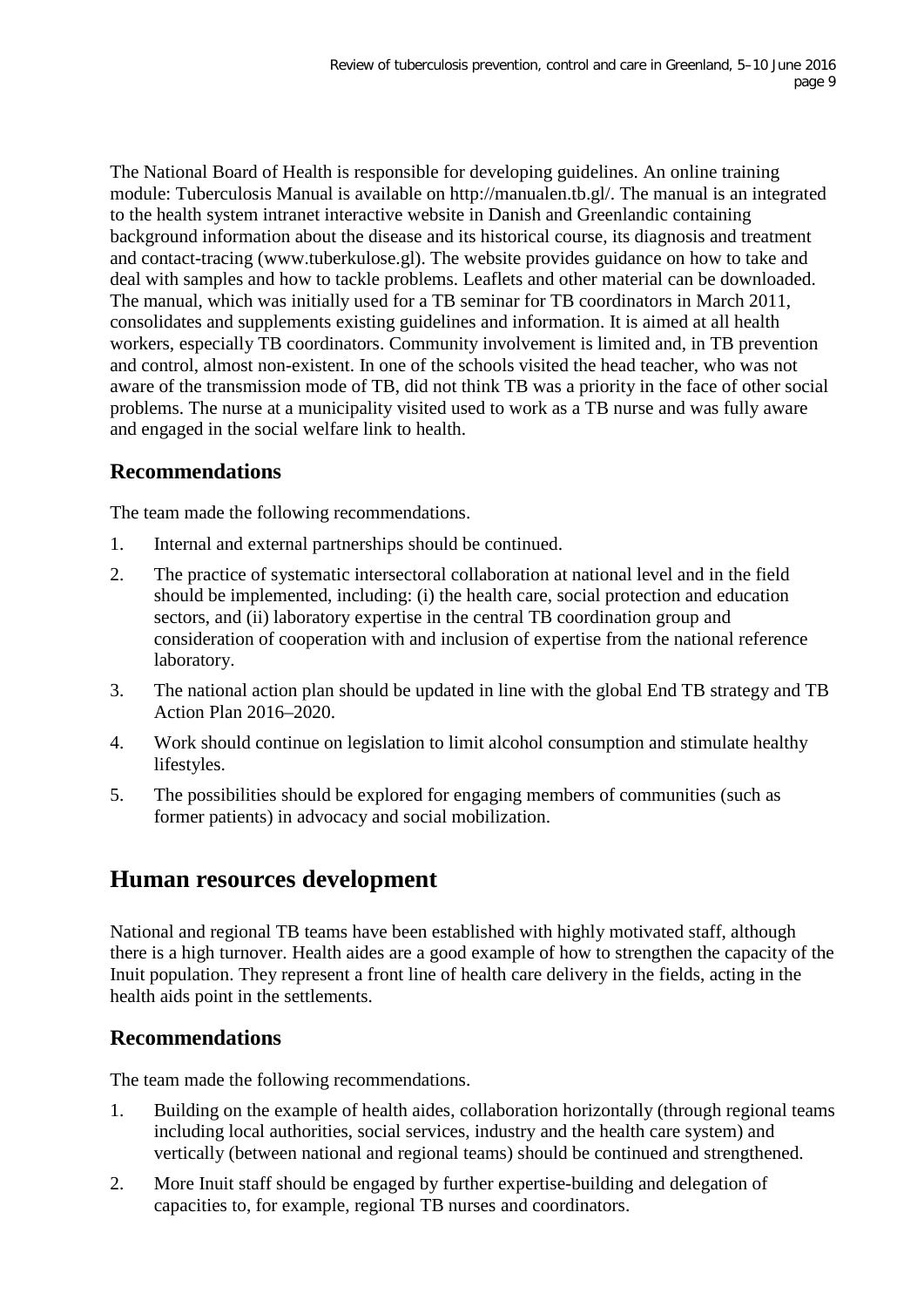The National Board of Health is responsible for developing guidelines. An online training module: Tuberculosis Manual is available on http://manualen.tb.gl/. The manual is an integrated to the health system intranet interactive website in Danish and Greenlandic containing background information about the disease and its historical course, its diagnosis and treatment and contact-tracing (www.tuberkulose.gl). The website provides guidance on how to take and deal with samples and how to tackle problems. Leaflets and other material can be downloaded. The manual, which was initially used for a TB seminar for TB coordinators in March 2011, consolidates and supplements existing guidelines and information. It is aimed at all health workers, especially TB coordinators. Community involvement is limited and, in TB prevention and control, almost non-existent. In one of the schools visited the head teacher, who was not aware of the transmission mode of TB, did not think TB was a priority in the face of other social problems. The nurse at a municipality visited used to work as a TB nurse and was fully aware and engaged in the social welfare link to health.

## <span id="page-19-0"></span>**Recommendations**

The team made the following recommendations.

- 1. Internal and external partnerships should be continued.
- 2. The practice of systematic intersectoral collaboration at national level and in the field should be implemented, including: (i) the health care, social protection and education sectors, and (ii) laboratory expertise in the central TB coordination group and consideration of cooperation with and inclusion of expertise from the national reference laboratory.
- 3. The national action plan should be updated in line with the global End TB strategy and TB Action Plan 2016–2020.
- 4. Work should continue on legislation to limit alcohol consumption and stimulate healthy lifestyles.
- 5. The possibilities should be explored for engaging members of communities (such as former patients) in advocacy and social mobilization.

# <span id="page-19-1"></span>**Human resources development**

National and regional TB teams have been established with highly motivated staff, although there is a high turnover. Health aides are a good example of how to strengthen the capacity of the Inuit population. They represent a front line of health care delivery in the fields, acting in the health aids point in the settlements.

## <span id="page-19-2"></span>**Recommendations**

The team made the following recommendations.

- 1. Building on the example of health aides, collaboration horizontally (through regional teams including local authorities, social services, industry and the health care system) and vertically (between national and regional teams) should be continued and strengthened.
- 2. More Inuit staff should be engaged by further expertise-building and delegation of capacities to, for example, regional TB nurses and coordinators.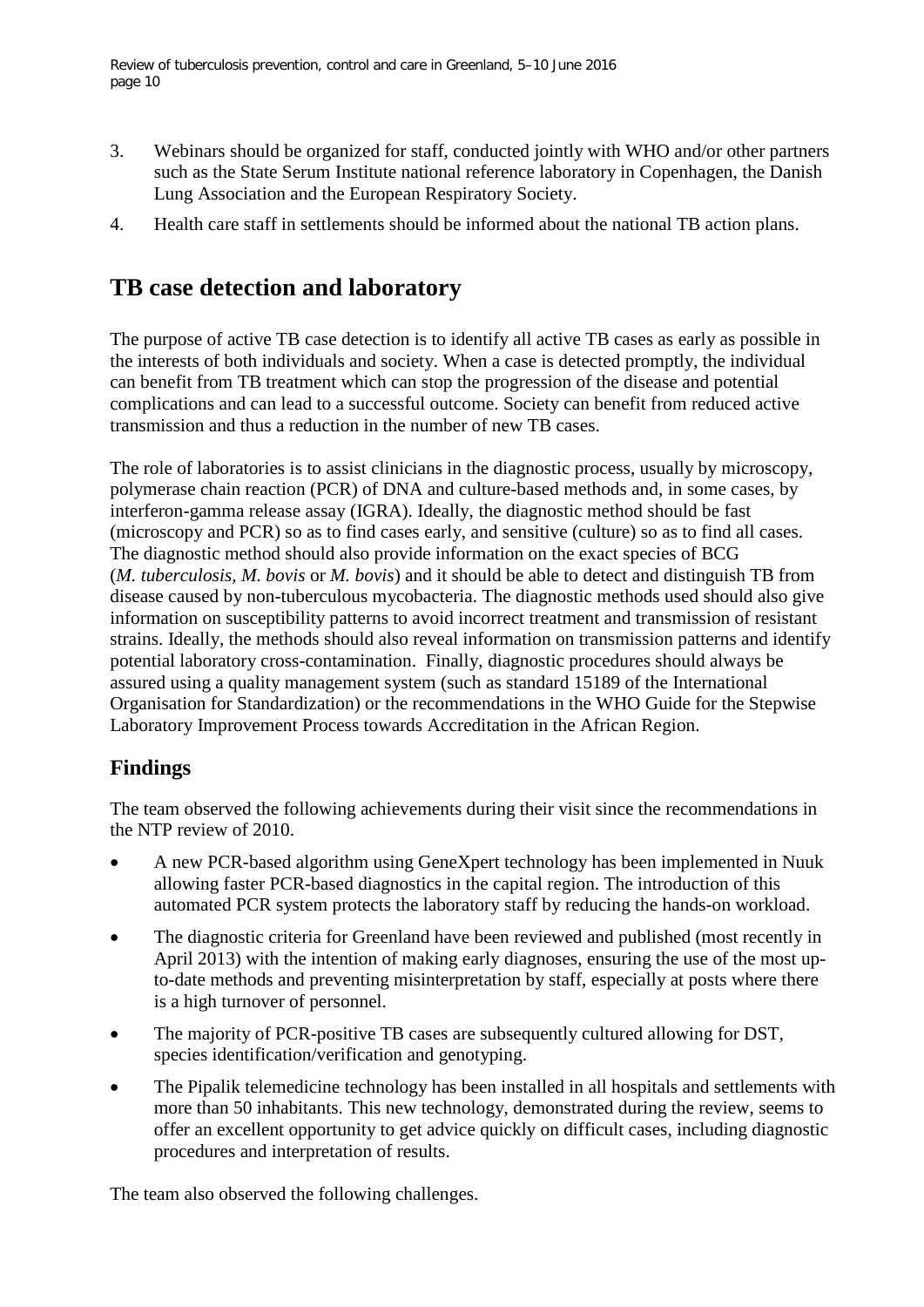- 3. Webinars should be organized for staff, conducted jointly with WHO and/or other partners such as the State Serum Institute national reference laboratory in Copenhagen, the Danish Lung Association and the European Respiratory Society.
- <span id="page-20-0"></span>4. Health care staff in settlements should be informed about the national TB action plans.

# **TB case detection and laboratory**

The purpose of active TB case detection is to identify all active TB cases as early as possible in the interests of both individuals and society. When a case is detected promptly, the individual can benefit from TB treatment which can stop the progression of the disease and potential complications and can lead to a successful outcome. Society can benefit from reduced active transmission and thus a reduction in the number of new TB cases.

The role of laboratories is to assist clinicians in the diagnostic process, usually by microscopy, polymerase chain reaction (PCR) of DNA and culture-based methods and, in some cases, by interferon-gamma release assay (IGRA). Ideally, the diagnostic method should be fast (microscopy and PCR) so as to find cases early, and sensitive (culture) so as to find all cases. The diagnostic method should also provide information on the exact species of BCG (*M. tuberculosis, M. bovis* or *M. bovis*) and it should be able to detect and distinguish TB from disease caused by non-tuberculous mycobacteria. The diagnostic methods used should also give information on susceptibility patterns to avoid incorrect treatment and transmission of resistant strains. Ideally, the methods should also reveal information on transmission patterns and identify potential laboratory cross-contamination. Finally, diagnostic procedures should always be assured using a quality management system (such as standard 15189 of the International Organisation for Standardization) or the recommendations in the WHO Guide for the Stepwise Laboratory Improvement Process towards Accreditation in the African Region.

## <span id="page-20-1"></span>**Findings**

The team observed the following achievements during their visit since the recommendations in the NTP review of 2010.

- A new PCR-based algorithm using GeneXpert technology has been implemented in Nuuk allowing faster PCR-based diagnostics in the capital region. The introduction of this automated PCR system protects the laboratory staff by reducing the hands-on workload.
- The diagnostic criteria for Greenland have been reviewed and published (most recently in April 2013) with the intention of making early diagnoses, ensuring the use of the most upto-date methods and preventing misinterpretation by staff, especially at posts where there is a high turnover of personnel.
- The majority of PCR-positive TB cases are subsequently cultured allowing for DST, species identification/verification and genotyping.
- The Pipalik telemedicine technology has been installed in all hospitals and settlements with more than 50 inhabitants. This new technology, demonstrated during the review, seems to offer an excellent opportunity to get advice quickly on difficult cases, including diagnostic procedures and interpretation of results.

The team also observed the following challenges.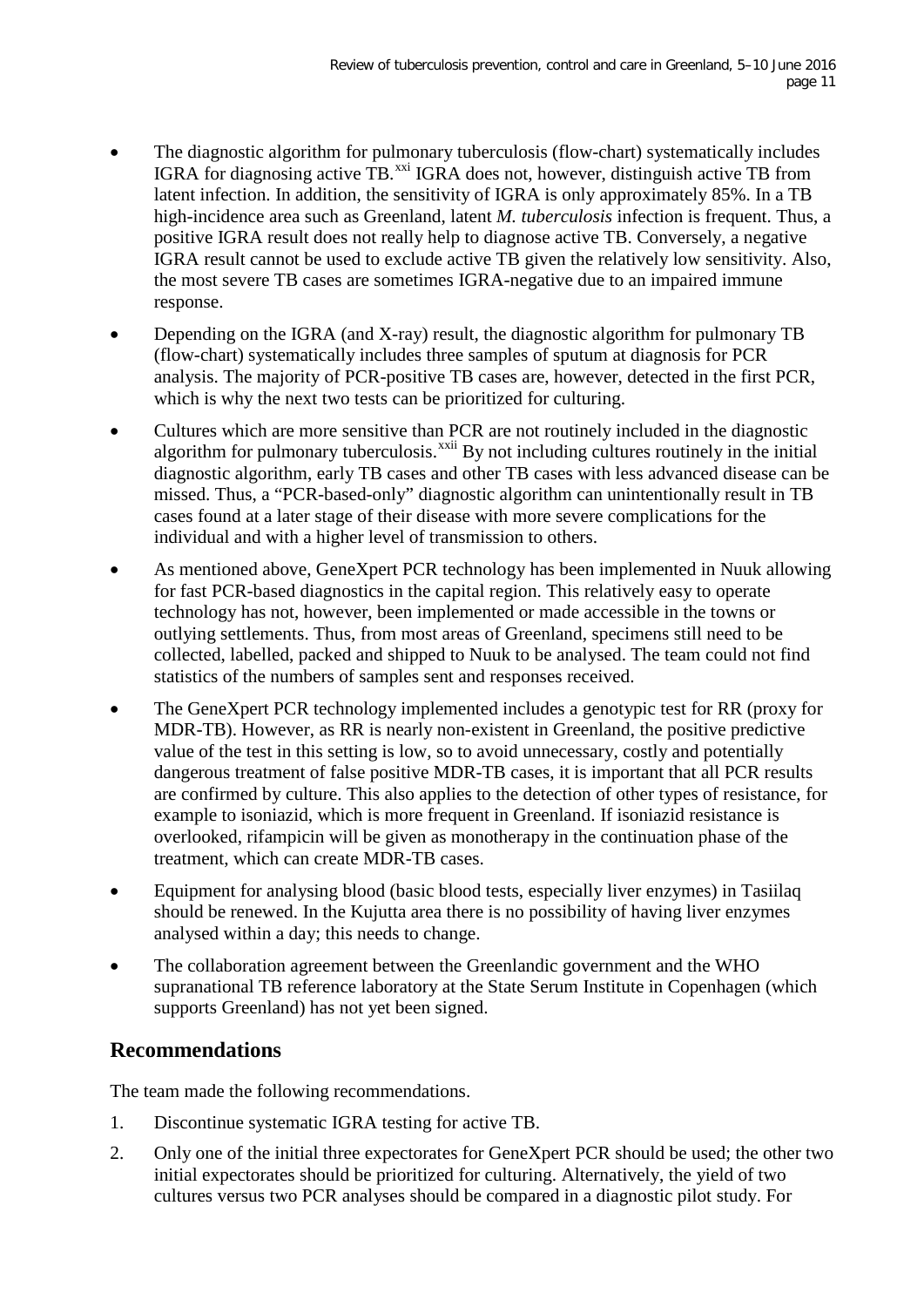- The diagnostic algorithm for pulmonary tuberculosis (flow-chart) systematically includes IGRA for diagnosing active TB.<sup>[xxi](#page-31-21)</sup> IGRA does not, however, distinguish active TB from latent infection. In addition, the sensitivity of IGRA is only approximately 85%. In a TB high-incidence area such as Greenland, latent *M. tuberculosis* infection is frequent. Thus, a positive IGRA result does not really help to diagnose active TB. Conversely, a negative IGRA result cannot be used to exclude active TB given the relatively low sensitivity. Also, the most severe TB cases are sometimes IGRA-negative due to an impaired immune response.
- Depending on the IGRA (and X-ray) result, the diagnostic algorithm for pulmonary TB (flow-chart) systematically includes three samples of sputum at diagnosis for PCR analysis. The majority of PCR-positive TB cases are, however, detected in the first PCR, which is why the next two tests can be prioritized for culturing.
- Cultures which are more sensitive than PCR are not routinely included in the diagnostic algorithm for pulmonary tuberculosis.<sup>[xxii](#page-31-22)</sup> By not including cultures routinely in the initial diagnostic algorithm, early TB cases and other TB cases with less advanced disease can be missed. Thus, a "PCR-based-only" diagnostic algorithm can unintentionally result in TB cases found at a later stage of their disease with more severe complications for the individual and with a higher level of transmission to others.
- As mentioned above, GeneXpert PCR technology has been implemented in Nuuk allowing for fast PCR-based diagnostics in the capital region. This relatively easy to operate technology has not, however, been implemented or made accessible in the towns or outlying settlements. Thus, from most areas of Greenland, specimens still need to be collected, labelled, packed and shipped to Nuuk to be analysed. The team could not find statistics of the numbers of samples sent and responses received.
- The GeneXpert PCR technology implemented includes a genotypic test for RR (proxy for MDR-TB). However, as RR is nearly non-existent in Greenland, the positive predictive value of the test in this setting is low, so to avoid unnecessary, costly and potentially dangerous treatment of false positive MDR-TB cases, it is important that all PCR results are confirmed by culture. This also applies to the detection of other types of resistance, for example to isoniazid, which is more frequent in Greenland. If isoniazid resistance is overlooked, rifampicin will be given as monotherapy in the continuation phase of the treatment, which can create MDR-TB cases.
- Equipment for analysing blood (basic blood tests, especially liver enzymes) in Tasiilaq should be renewed. In the Kujutta area there is no possibility of having liver enzymes analysed within a day; this needs to change.
- The collaboration agreement between the Greenlandic government and the WHO supranational TB reference laboratory at the State Serum Institute in Copenhagen (which supports Greenland) has not yet been signed.

## <span id="page-21-0"></span>**Recommendations**

The team made the following recommendations.

- 1. Discontinue systematic IGRA testing for active TB.
- 2. Only one of the initial three expectorates for GeneXpert PCR should be used; the other two initial expectorates should be prioritized for culturing. Alternatively, the yield of two cultures versus two PCR analyses should be compared in a diagnostic pilot study. For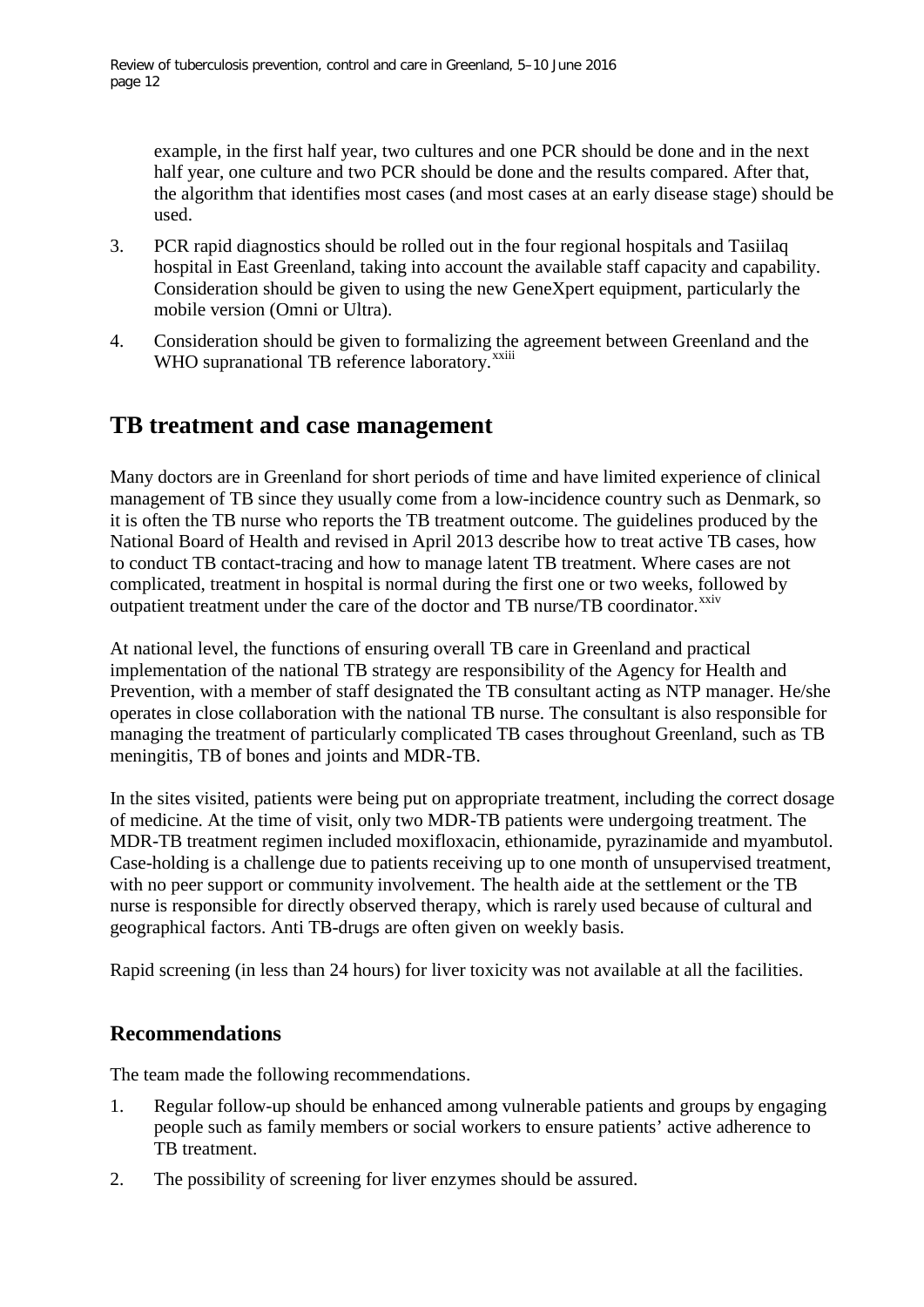example, in the first half year, two cultures and one PCR should be done and in the next half year, one culture and two PCR should be done and the results compared. After that, the algorithm that identifies most cases (and most cases at an early disease stage) should be used.

- 3. PCR rapid diagnostics should be rolled out in the four regional hospitals and Tasiilaq hospital in East Greenland, taking into account the available staff capacity and capability. Consideration should be given to using the new GeneXpert equipment, particularly the mobile version (Omni or Ultra).
- 4. Consideration should be given to formalizing th[e](#page-31-23) agreement between Greenland and the WHO supranational TB reference laboratory.<sup>xxiii</sup>

## <span id="page-22-0"></span>**TB treatment and case management**

Many doctors are in Greenland for short periods of time and have limited experience of clinical management of TB since they usually come from a low-incidence country such as Denmark, so it is often the TB nurse who reports the TB treatment outcome. The guidelines produced by the National Board of Health and revised in April 2013 describe how to treat active TB cases, how to conduct TB contact-tracing and how to manage latent TB treatment. Where cases are not complicated, treatment in hospital is normal during the first one or two weeks, followed by outpatient treatment under the care of the doctor and TB nurse/TB coordinator.<sup>[xxiv](#page-31-24)</sup>

At national level, the functions of ensuring overall TB care in Greenland and practical implementation of the national TB strategy are responsibility of the Agency for Health and Prevention, with a member of staff designated the TB consultant acting as NTP manager. He/she operates in close collaboration with the national TB nurse. The consultant is also responsible for managing the treatment of particularly complicated TB cases throughout Greenland, such as TB meningitis, TB of bones and joints and MDR-TB.

In the sites visited, patients were being put on appropriate treatment, including the correct dosage of medicine. At the time of visit, only two MDR-TB patients were undergoing treatment. The MDR-TB treatment regimen included moxifloxacin, ethionamide, pyrazinamide and myambutol. Case-holding is a challenge due to patients receiving up to one month of unsupervised treatment, with no peer support or community involvement. The health aide at the settlement or the TB nurse is responsible for directly observed therapy, which is rarely used because of cultural and geographical factors. Anti TB-drugs are often given on weekly basis.

Rapid screening (in less than 24 hours) for liver toxicity was not available at all the facilities.

## <span id="page-22-1"></span>**Recommendations**

The team made the following recommendations.

- 1. Regular follow-up should be enhanced among vulnerable patients and groups by engaging people such as family members or social workers to ensure patients' active adherence to TB treatment.
- 2. The possibility of screening for liver enzymes should be assured.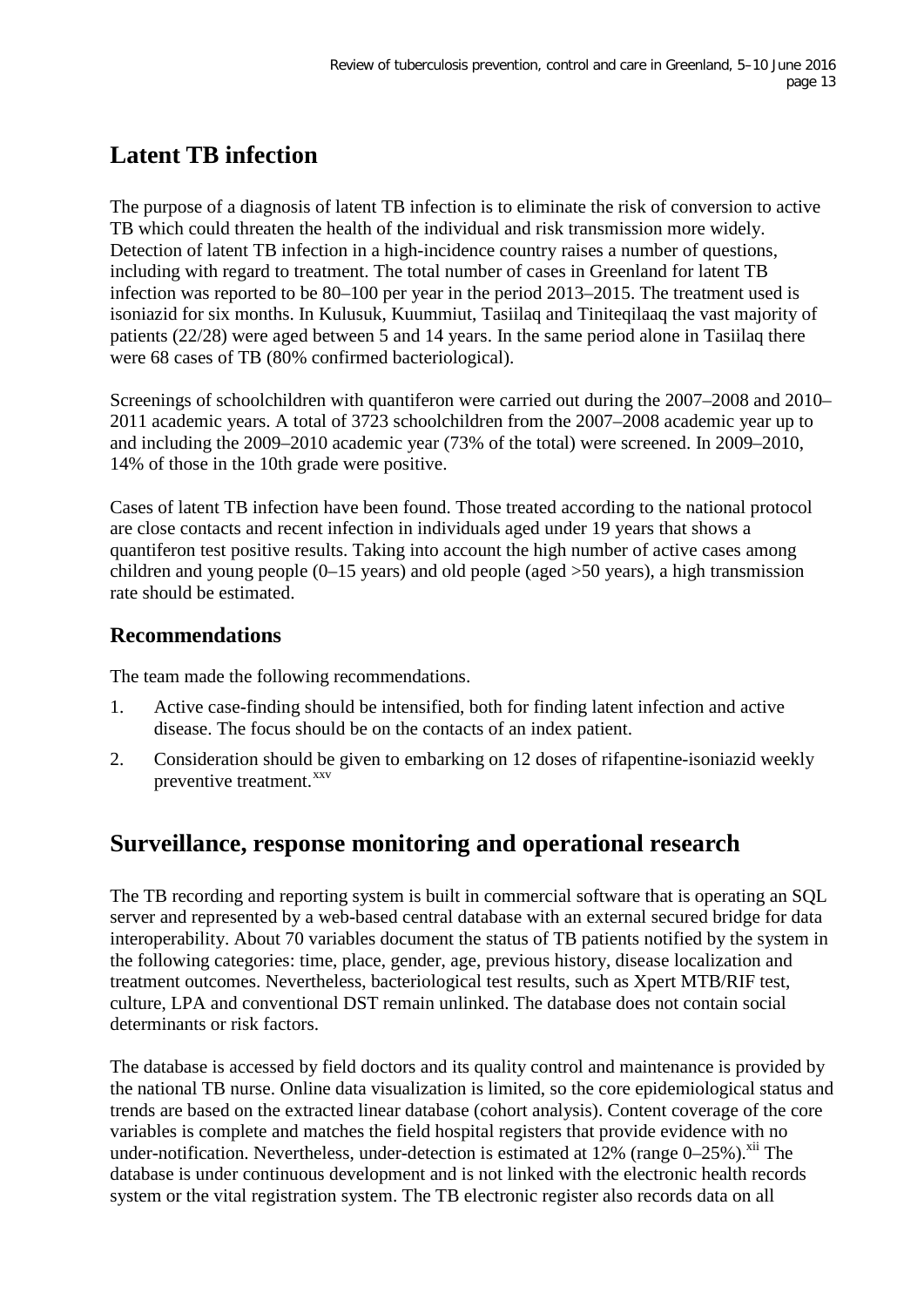# <span id="page-23-0"></span>**Latent TB infection**

The purpose of a diagnosis of latent TB infection is to eliminate the risk of conversion to active TB which could threaten the health of the individual and risk transmission more widely. Detection of latent TB infection in a high-incidence country raises a number of questions, including with regard to treatment. The total number of cases in Greenland for latent TB infection was reported to be 80–100 per year in the period 2013–2015. The treatment used is isoniazid for six months. In Kulusuk, Kuummiut, Tasiilaq and Tiniteqilaaq the vast majority of patients (22/28) were aged between 5 and 14 years. In the same period alone in Tasiilaq there were 68 cases of TB (80% confirmed bacteriological).

Screenings of schoolchildren with quantiferon were carried out during the 2007–2008 and 2010– 2011 academic years. A total of 3723 schoolchildren from the 2007–2008 academic year up to and including the 2009–2010 academic year (73% of the total) were screened. In 2009–2010, 14% of those in the 10th grade were positive.

Cases of latent TB infection have been found. Those treated according to the national protocol are close contacts and recent infection in individuals aged under 19 years that shows a quantiferon test positive results. Taking into account the high number of active cases among children and young people (0–15 years) and old people (aged >50 years), a high transmission rate should be estimated.

## <span id="page-23-1"></span>**Recommendations**

The team made the following recommendations.

- 1. Active case-finding should be intensified, both for finding latent infection and active disease. The focus should be on the contacts of an index patient.
- 2. Consideration should be given to embarking on 12 doses of rifapentine-isoniazid weekly preventive treatment.<sup>[xxv](#page-31-25)</sup>

# <span id="page-23-2"></span>**Surveillance, response monitoring and operational research**

The TB recording and reporting system is built in commercial software that is operating an SQL server and represented by a web-based central database with an external secured bridge for data interoperability. About 70 variables document the status of TB patients notified by the system in the following categories: time, place, gender, age, previous history, disease localization and treatment outcomes. Nevertheless, bacteriological test results, such as Xpert MTB/RIF test, culture, LPA and conventional DST remain unlinked. The database does not contain social determinants or risk factors.

The database is accessed by field doctors and its quality control and maintenance is provided by the national TB nurse. Online data visualization is limited, so the core epidemiological status and trends are based on the extracted linear database (cohort analysis). Content coverage of the core variables is complete and matches the field hospital registers that provide evidence with no under-notification. Nevertheless, under-detection is estimated at  $12\%$  (range  $0-25\%$ ).<sup>xii</sup> The database is under continuous development and is not linked with the electronic health records system or the vital registration system. The TB electronic register also records data on all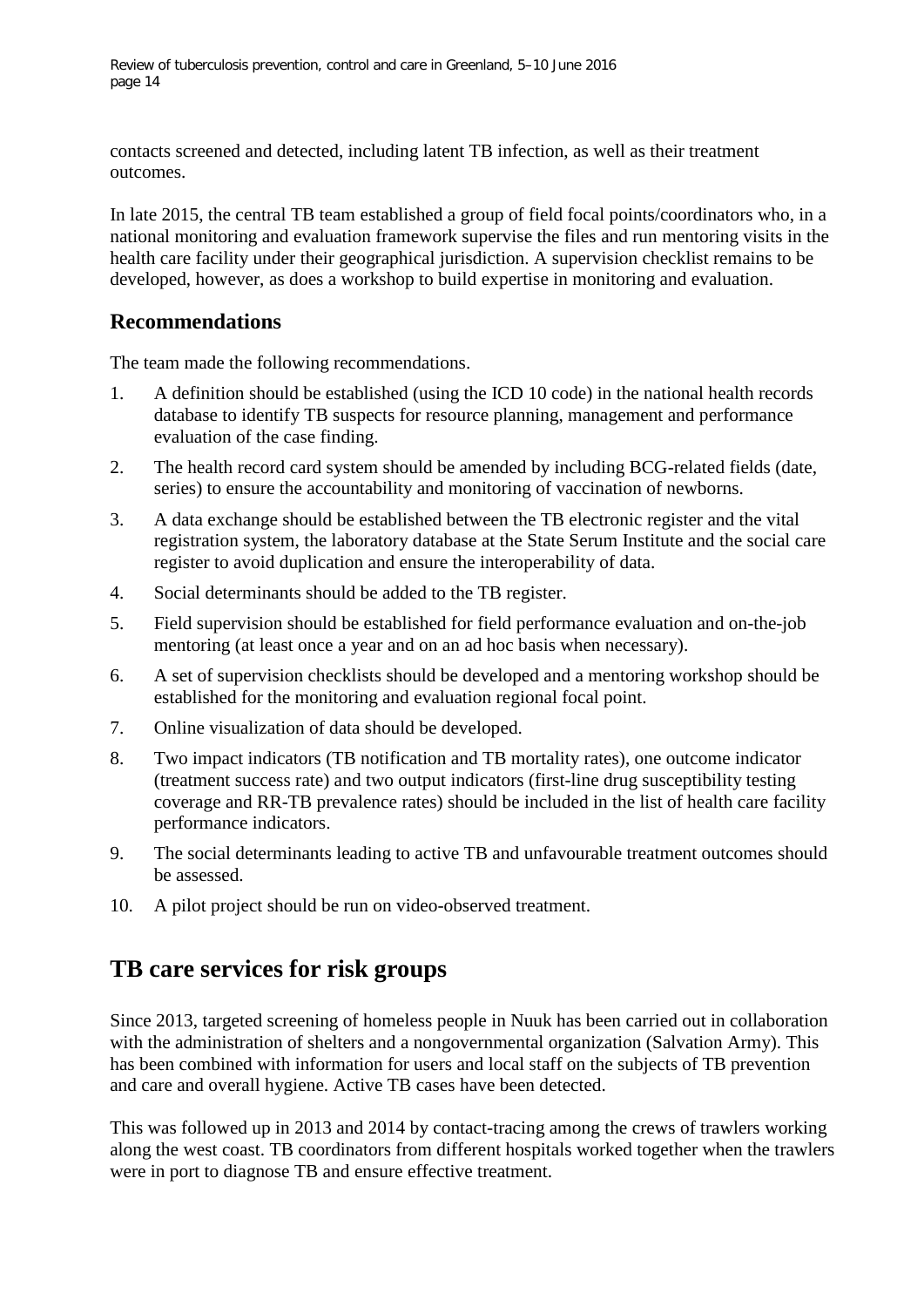contacts screened and detected, including latent TB infection, as well as their treatment outcomes.

In late 2015, the central TB team established a group of field focal points/coordinators who, in a national monitoring and evaluation framework supervise the files and run mentoring visits in the health care facility under their geographical jurisdiction. A supervision checklist remains to be developed, however, as does a workshop to build expertise in monitoring and evaluation.

#### <span id="page-24-0"></span>**Recommendations**

The team made the following recommendations.

- 1. A definition should be established (using the ICD 10 code) in the national health records database to identify TB suspects for resource planning, management and performance evaluation of the case finding.
- 2. The health record card system should be amended by including BCG-related fields (date, series) to ensure the accountability and monitoring of vaccination of newborns.
- 3. A data exchange should be established between the TB electronic register and the vital registration system, the laboratory database at the State Serum Institute and the social care register to avoid duplication and ensure the interoperability of data.
- 4. Social determinants should be added to the TB register.
- 5. Field supervision should be established for field performance evaluation and on-the-job mentoring (at least once a year and on an ad hoc basis when necessary).
- 6. A set of supervision checklists should be developed and a mentoring workshop should be established for the monitoring and evaluation regional focal point.
- 7. Online visualization of data should be developed.
- 8. Two impact indicators (TB notification and TB mortality rates), one outcome indicator (treatment success rate) and two output indicators (first-line drug susceptibility testing coverage and RR-TB prevalence rates) should be included in the list of health care facility performance indicators.
- 9. The social determinants leading to active TB and unfavourable treatment outcomes should be assessed.
- <span id="page-24-1"></span>10. A pilot project should be run on video-observed treatment.

## **TB care services for risk groups**

Since 2013, targeted screening of homeless people in Nuuk has been carried out in collaboration with the administration of shelters and a nongovernmental organization (Salvation Army). This has been combined with information for users and local staff on the subjects of TB prevention and care and overall hygiene. Active TB cases have been detected.

This was followed up in 2013 and 2014 by contact-tracing among the crews of trawlers working along the west coast. TB coordinators from different hospitals worked together when the trawlers were in port to diagnose TB and ensure effective treatment.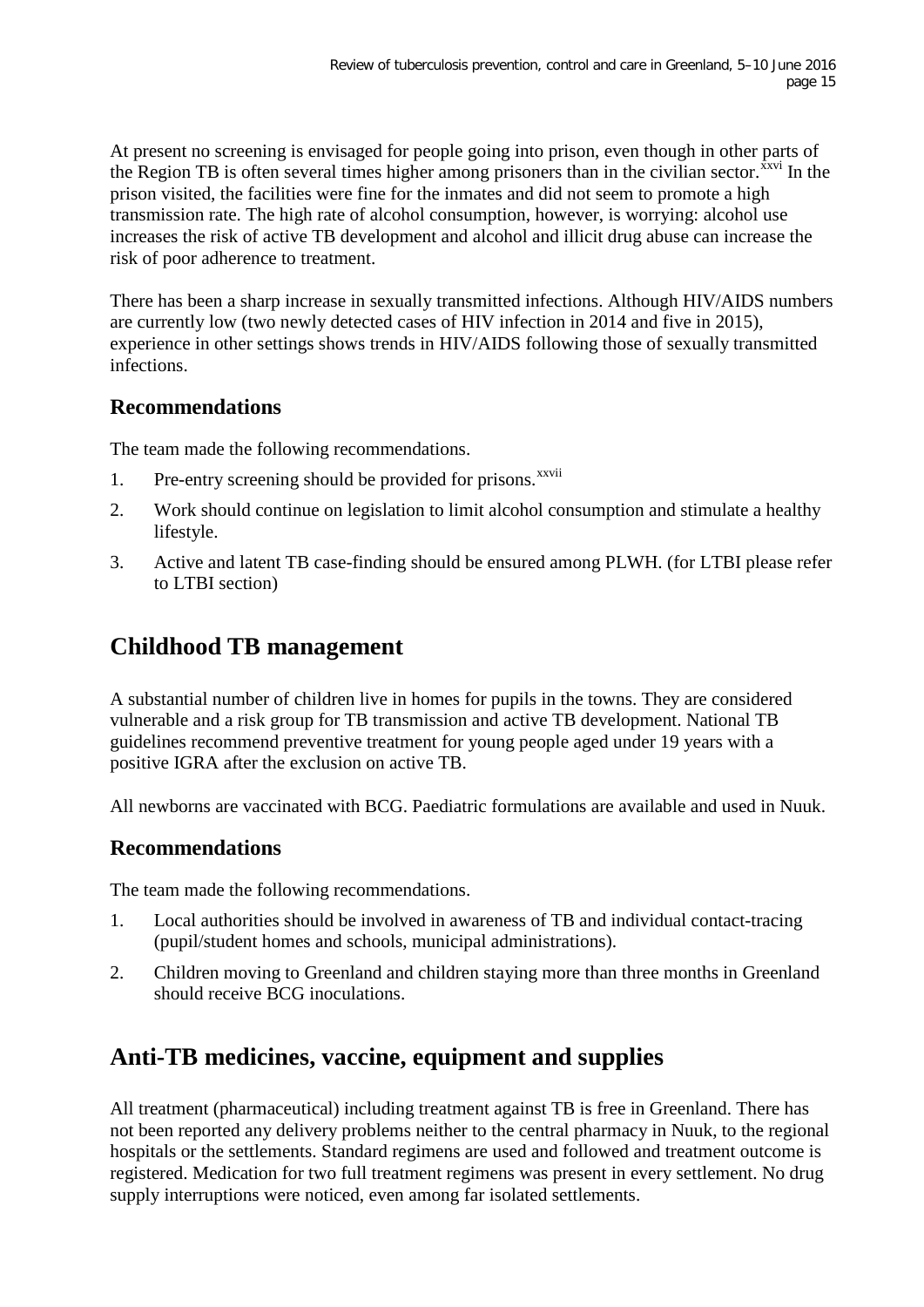At present no screening is envisaged for people going into prison, even though in other parts of the Region TB is often several times higher among prisoners than in the civilian sector.<sup>[xxvi](#page-31-26)</sup> In the prison visited, the facilities were fine for the inmates and did not seem to promote a high transmission rate. The high rate of alcohol consumption, however, is worrying: alcohol use increases the risk of active TB development and alcohol and illicit drug abuse can increase the risk of poor adherence to treatment.

There has been a sharp increase in sexually transmitted infections. Although HIV/AIDS numbers are currently low (two newly detected cases of HIV infection in 2014 and five in 2015), experience in other settings shows trends in HIV/AIDS following those of sexually transmitted infections.

## <span id="page-25-0"></span>**Recommendations**

The team made the following recommendations.

- 1. Pre-entry screen[i](#page-31-27)ng should be provided for prisons.<sup>xxvii</sup>
- 2. Work should continue on legislation to limit alcohol consumption and stimulate a healthy lifestyle.
- 3. Active and latent TB case-finding should be ensured among PLWH. (for LTBI please refer to LTBI section)

# <span id="page-25-1"></span>**Childhood TB management**

A substantial number of children live in homes for pupils in the towns. They are considered vulnerable and a risk group for TB transmission and active TB development. National TB guidelines recommend preventive treatment for young people aged under 19 years with a positive IGRA after the exclusion on active TB.

<span id="page-25-2"></span>All newborns are vaccinated with BCG. Paediatric formulations are available and used in Nuuk.

#### **Recommendations**

The team made the following recommendations.

- 1. Local authorities should be involved in awareness of TB and individual contact-tracing (pupil/student homes and schools, municipal administrations).
- 2. Children moving to Greenland and children staying more than three months in Greenland should receive BCG inoculations.

# <span id="page-25-3"></span>**Anti-TB medicines, vaccine, equipment and supplies**

All treatment (pharmaceutical) including treatment against TB is free in Greenland. There has not been reported any delivery problems neither to the central pharmacy in Nuuk, to the regional hospitals or the settlements. Standard regimens are used and followed and treatment outcome is registered. Medication for two full treatment regimens was present in every settlement. No drug supply interruptions were noticed, even among far isolated settlements.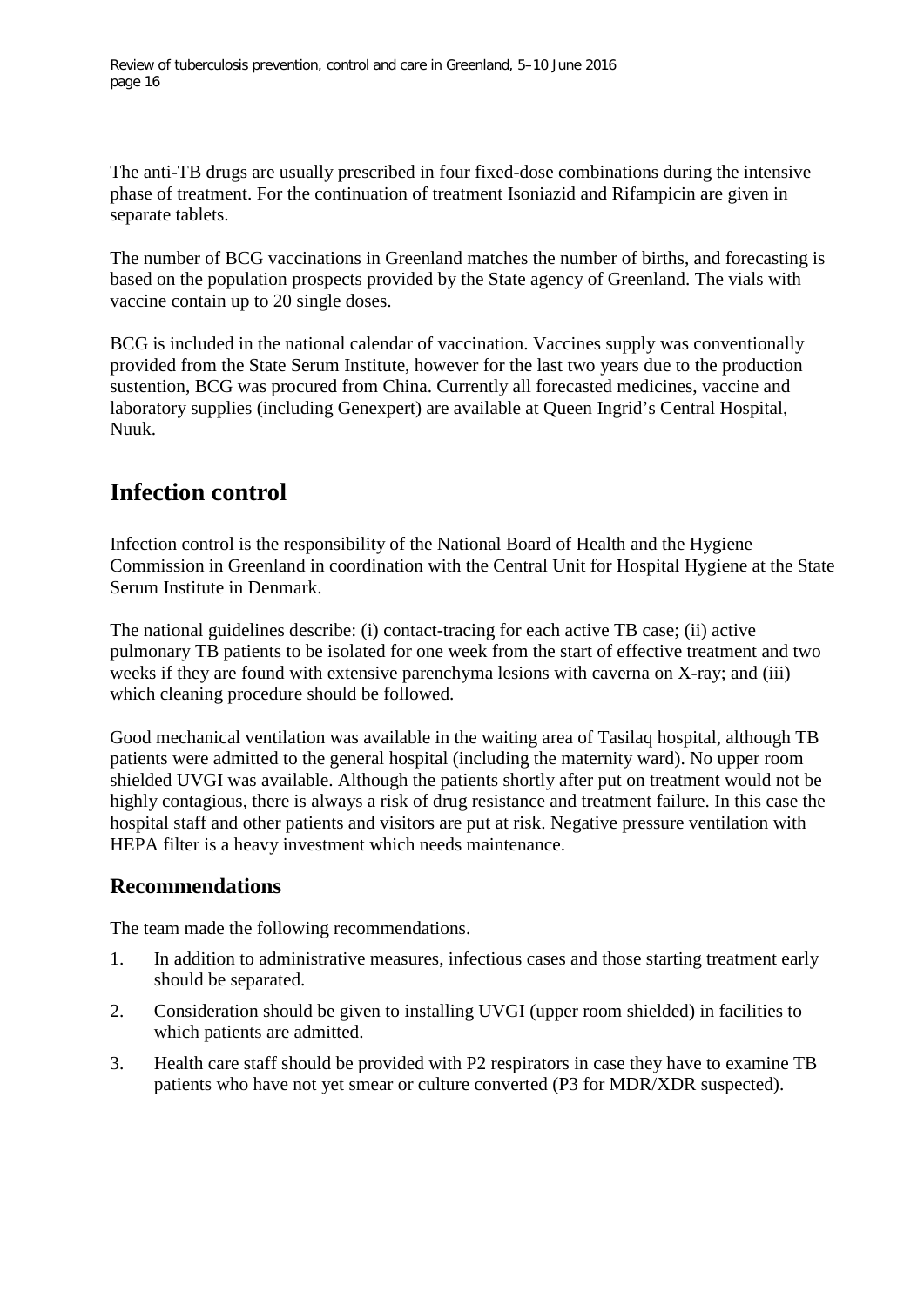The anti-TB drugs are usually prescribed in four fixed-dose combinations during the intensive phase of treatment. For the continuation of treatment Isoniazid and Rifampicin are given in separate tablets.

The number of BCG vaccinations in Greenland matches the number of births, and forecasting is based on the population prospects provided by the State agency of Greenland. The vials with vaccine contain up to 20 single doses.

BCG is included in the national calendar of vaccination. Vaccines supply was conventionally provided from the State Serum Institute, however for the last two years due to the production sustention, BCG was procured from China. Currently all forecasted medicines, vaccine and laboratory supplies (including Genexpert) are available at Queen Ingrid's Central Hospital, Nuuk.

# <span id="page-26-0"></span>**Infection control**

Infection control is the responsibility of the National Board of Health and the Hygiene Commission in Greenland in coordination with the Central Unit for Hospital Hygiene at the State Serum Institute in Denmark.

The national guidelines describe: (i) contact-tracing for each active TB case; (ii) active pulmonary TB patients to be isolated for one week from the start of effective treatment and two weeks if they are found with extensive parenchyma lesions with caverna on X-ray; and (iii) which cleaning procedure should be followed.

Good mechanical ventilation was available in the waiting area of Tasilaq hospital, although TB patients were admitted to the general hospital (including the maternity ward). No upper room shielded UVGI was available. Although the patients shortly after put on treatment would not be highly contagious, there is always a risk of drug resistance and treatment failure. In this case the hospital staff and other patients and visitors are put at risk. Negative pressure ventilation with HEPA filter is a heavy investment which needs maintenance.

## <span id="page-26-1"></span>**Recommendations**

The team made the following recommendations.

- 1. In addition to administrative measures, infectious cases and those starting treatment early should be separated.
- 2. Consideration should be given to installing UVGI (upper room shielded) in facilities to which patients are admitted.
- 3. Health care staff should be provided with P2 respirators in case they have to examine TB patients who have not yet smear or culture converted (P3 for MDR/XDR suspected).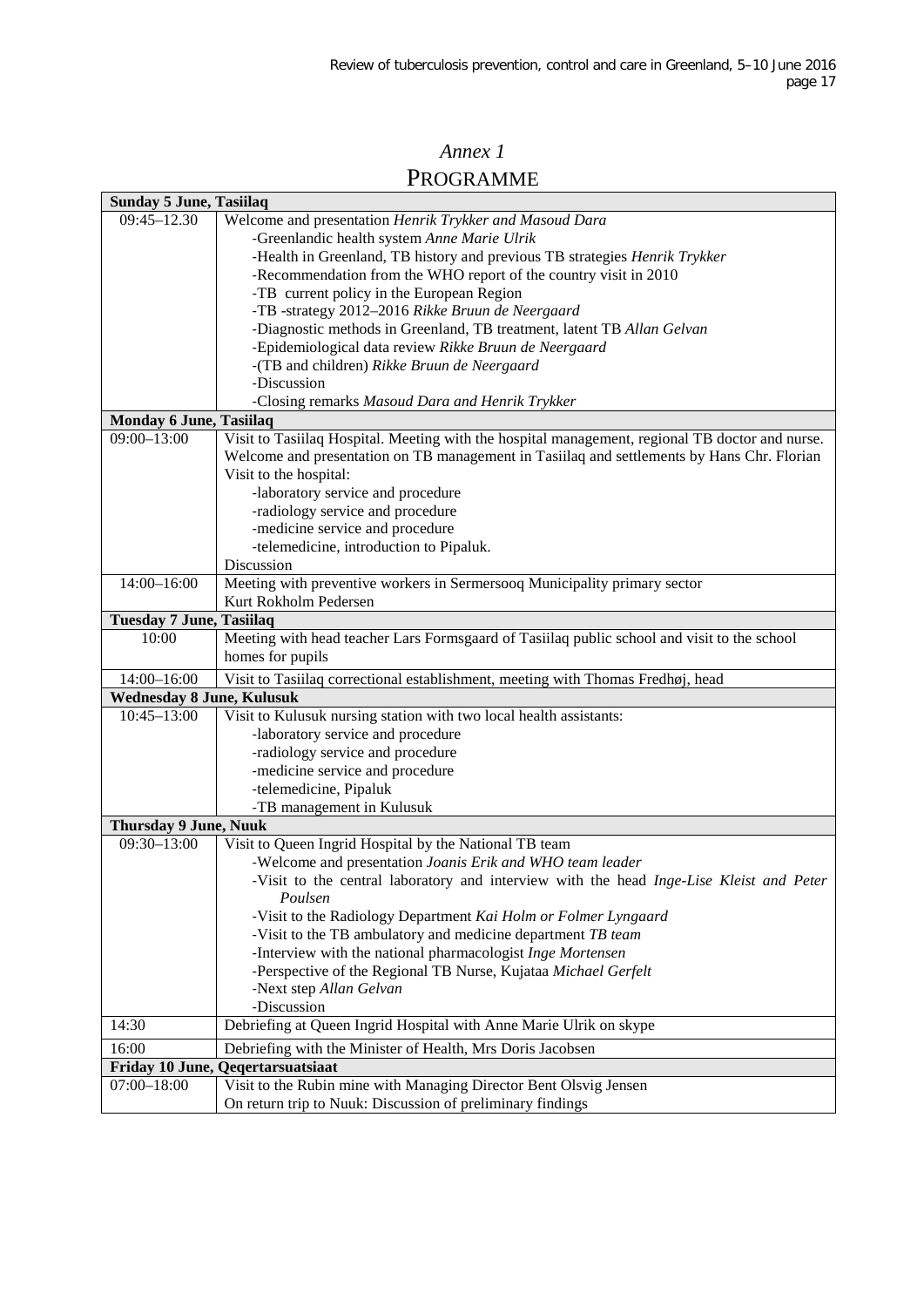## *Annex 1*

## PROGRAMME

<span id="page-27-1"></span><span id="page-27-0"></span>

| Sunday 5 June, Tasiilaq          |                                                                                                 |  |  |  |  |  |  |  |
|----------------------------------|-------------------------------------------------------------------------------------------------|--|--|--|--|--|--|--|
| $09:45 - 12.30$                  | Welcome and presentation Henrik Trykker and Masoud Dara                                         |  |  |  |  |  |  |  |
|                                  | -Greenlandic health system Anne Marie Ulrik                                                     |  |  |  |  |  |  |  |
|                                  | -Health in Greenland, TB history and previous TB strategies Henrik Trykker                      |  |  |  |  |  |  |  |
|                                  | -Recommendation from the WHO report of the country visit in 2010                                |  |  |  |  |  |  |  |
|                                  | -TB current policy in the European Region                                                       |  |  |  |  |  |  |  |
|                                  | -TB -strategy 2012-2016 Rikke Bruun de Neergaard                                                |  |  |  |  |  |  |  |
|                                  | -Diagnostic methods in Greenland, TB treatment, latent TB Allan Gelvan                          |  |  |  |  |  |  |  |
|                                  | -Epidemiological data review Rikke Bruun de Neergaard                                           |  |  |  |  |  |  |  |
|                                  | -(TB and children) Rikke Bruun de Neergaard                                                     |  |  |  |  |  |  |  |
|                                  | -Discussion                                                                                     |  |  |  |  |  |  |  |
|                                  | -Closing remarks Masoud Dara and Henrik Trykker                                                 |  |  |  |  |  |  |  |
| Monday 6 June, Tasiilaq          |                                                                                                 |  |  |  |  |  |  |  |
| $09:00 - 13:00$                  | Visit to Tasiilaq Hospital. Meeting with the hospital management, regional TB doctor and nurse. |  |  |  |  |  |  |  |
|                                  | Welcome and presentation on TB management in Tasiilaq and settlements by Hans Chr. Florian      |  |  |  |  |  |  |  |
|                                  | Visit to the hospital:                                                                          |  |  |  |  |  |  |  |
|                                  | -laboratory service and procedure                                                               |  |  |  |  |  |  |  |
|                                  | -radiology service and procedure                                                                |  |  |  |  |  |  |  |
|                                  | -medicine service and procedure                                                                 |  |  |  |  |  |  |  |
|                                  | -telemedicine, introduction to Pipaluk.                                                         |  |  |  |  |  |  |  |
|                                  | Discussion                                                                                      |  |  |  |  |  |  |  |
| 14:00-16:00                      | Meeting with preventive workers in Sermersooq Municipality primary sector                       |  |  |  |  |  |  |  |
|                                  | Kurt Rokholm Pedersen                                                                           |  |  |  |  |  |  |  |
| <b>Tuesday 7 June, Tasiilaq</b>  |                                                                                                 |  |  |  |  |  |  |  |
| 10:00                            | Meeting with head teacher Lars Formsgaard of Tasiilaq public school and visit to the school     |  |  |  |  |  |  |  |
|                                  | homes for pupils                                                                                |  |  |  |  |  |  |  |
| 14:00-16:00                      | Visit to Tasiilaq correctional establishment, meeting with Thomas Fredhøj, head                 |  |  |  |  |  |  |  |
| <b>Wednesday 8 June, Kulusuk</b> |                                                                                                 |  |  |  |  |  |  |  |
| $10:45 - 13:00$                  | Visit to Kulusuk nursing station with two local health assistants:                              |  |  |  |  |  |  |  |
|                                  | -laboratory service and procedure                                                               |  |  |  |  |  |  |  |
|                                  | -radiology service and procedure                                                                |  |  |  |  |  |  |  |
|                                  | -medicine service and procedure                                                                 |  |  |  |  |  |  |  |
|                                  | -telemedicine, Pipaluk                                                                          |  |  |  |  |  |  |  |
|                                  | -TB management in Kulusuk                                                                       |  |  |  |  |  |  |  |
| <b>Thursday 9 June, Nuuk</b>     |                                                                                                 |  |  |  |  |  |  |  |
| 09:30-13:00                      | Visit to Queen Ingrid Hospital by the National TB team                                          |  |  |  |  |  |  |  |
|                                  | -Welcome and presentation Joanis Erik and WHO team leader                                       |  |  |  |  |  |  |  |
|                                  | -Visit to the central laboratory and interview with the head Inge-Lise Kleist and Peter         |  |  |  |  |  |  |  |
|                                  | Poulsen                                                                                         |  |  |  |  |  |  |  |
|                                  | -Visit to the Radiology Department Kai Holm or Folmer Lyngaard                                  |  |  |  |  |  |  |  |
|                                  | -Visit to the TB ambulatory and medicine department TB team                                     |  |  |  |  |  |  |  |
|                                  | -Interview with the national pharmacologist Inge Mortensen                                      |  |  |  |  |  |  |  |
|                                  | -Perspective of the Regional TB Nurse, Kujataa Michael Gerfelt                                  |  |  |  |  |  |  |  |
|                                  | -Next step Allan Gelvan                                                                         |  |  |  |  |  |  |  |
|                                  | -Discussion                                                                                     |  |  |  |  |  |  |  |
| 14:30                            | Debriefing at Queen Ingrid Hospital with Anne Marie Ulrik on skype                              |  |  |  |  |  |  |  |
| 16:00                            | Debriefing with the Minister of Health, Mrs Doris Jacobsen                                      |  |  |  |  |  |  |  |
|                                  | Friday 10 June, Qeqertarsuatsiaat                                                               |  |  |  |  |  |  |  |
| $07:00 - 18:00$                  | Visit to the Rubin mine with Managing Director Bent Olsvig Jensen                               |  |  |  |  |  |  |  |
|                                  | On return trip to Nuuk: Discussion of preliminary findings                                      |  |  |  |  |  |  |  |
|                                  |                                                                                                 |  |  |  |  |  |  |  |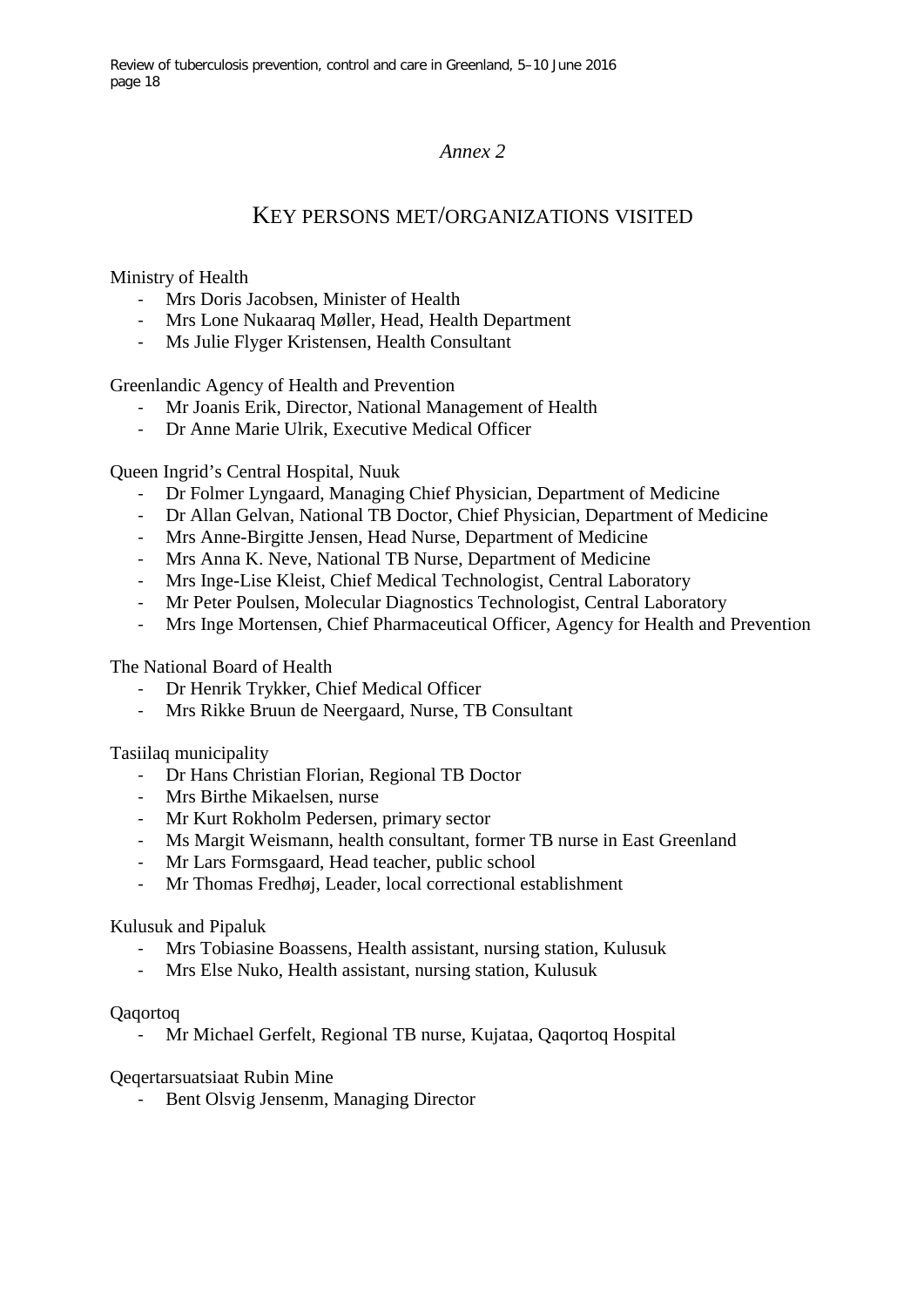#### *Annex 2*

#### KEY PERSONS MET/ORGANIZATIONS VISITED

<span id="page-28-0"></span>Ministry of Health

- Mrs Doris Jacobsen, Minister of Health
- Mrs Lone Nukaaraq Møller, Head, Health Department
- Ms Julie Flyger Kristensen, Health Consultant

Greenlandic Agency of Health and Prevention

- Mr Joanis Erik, Director, National Management of Health
- Dr Anne Marie Ulrik, Executive Medical Officer

Queen Ingrid's Central Hospital, Nuuk

- Dr Folmer Lyngaard, Managing Chief Physician, Department of Medicine
- Dr Allan Gelvan, National TB Doctor, Chief Physician, Department of Medicine
- Mrs Anne-Birgitte Jensen, Head Nurse, Department of Medicine
- Mrs Anna K. Neve, National TB Nurse, Department of Medicine
- Mrs Inge-Lise Kleist, Chief Medical Technologist, Central Laboratory
- Mr Peter Poulsen, Molecular Diagnostics Technologist, Central Laboratory
- Mrs Inge Mortensen, Chief Pharmaceutical Officer, Agency for Health and Prevention

The National Board of Health

- Dr Henrik Trykker, Chief Medical Officer
- Mrs Rikke Bruun de Neergaard, Nurse, TB Consultant

Tasiilaq municipality

- Dr Hans Christian Florian, Regional TB Doctor
- Mrs Birthe Mikaelsen, nurse
- Mr Kurt Rokholm Pedersen, primary sector
- Ms Margit Weismann, health consultant, former TB nurse in East Greenland
- Mr Lars Formsgaard, Head teacher, public school
- Mr Thomas Fredhøj, Leader, local correctional establishment

#### Kulusuk and Pipaluk

- Mrs Tobiasine Boassens, Health assistant, nursing station, Kulusuk
- Mrs Else Nuko, Health assistant, nursing station, Kulusuk

#### Qaqortoq

- Mr Michael Gerfelt, Regional TB nurse, Kujataa, Qaqortoq Hospital

#### Qeqertarsuatsiaat Rubin Mine

- Bent Olsvig Jensenm, Managing Director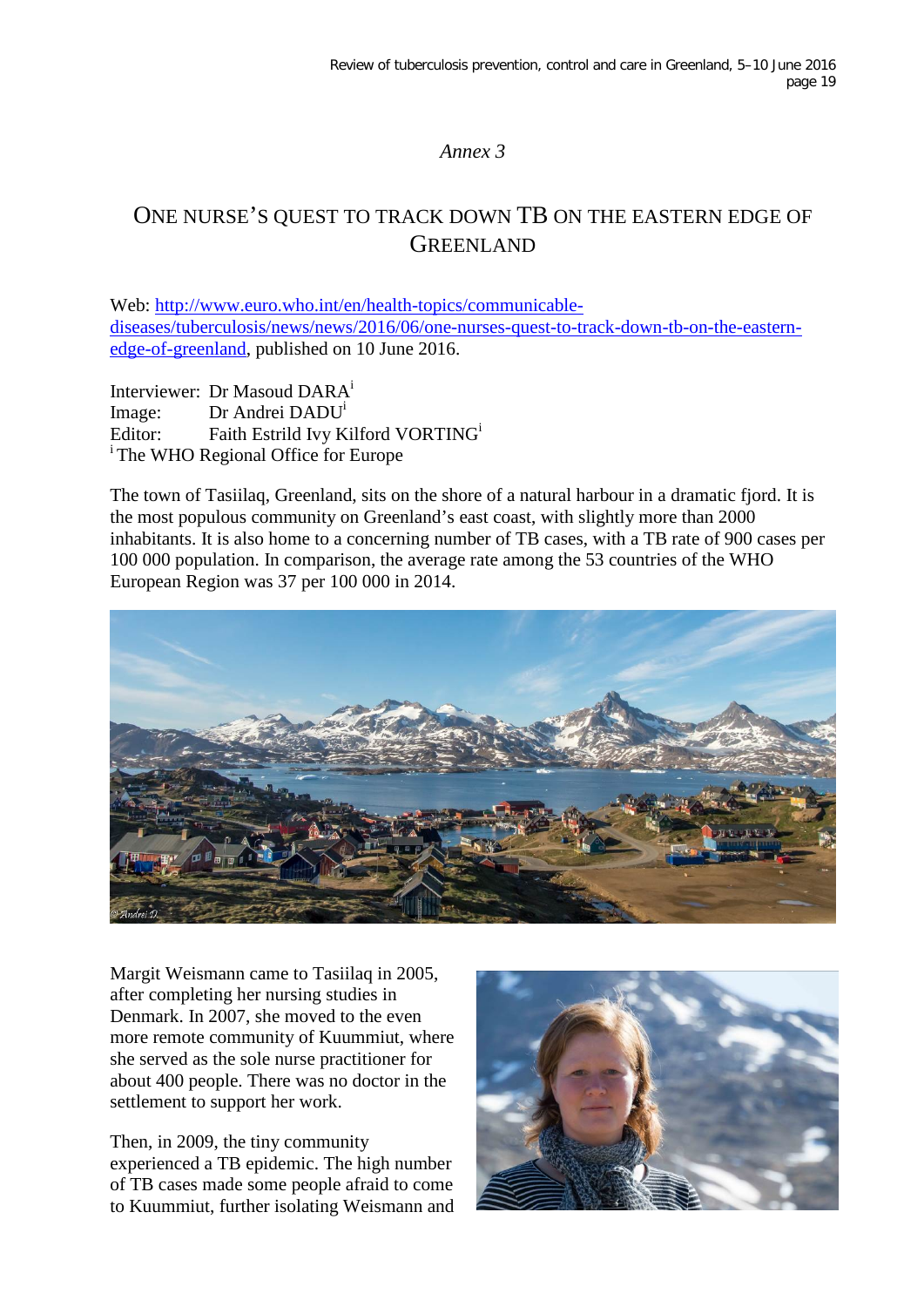#### *Annex 3*

## <span id="page-29-0"></span>ONE NURSE'S QUEST TO TRACK DOWN TB ON THE EASTERN EDGE OF **GREENLAND**

Web: [http://www.euro.who.int/en/health-topics/communicable](http://www.euro.who.int/en/health-topics/communicable-diseases/tuberculosis/news/news/2016/06/one-nurses-quest-to-track-down-tb-on-the-eastern-edge-of-greenland)[diseases/tuberculosis/news/news/2016/06/one-nurses-quest-to-track-down-tb-on-the-eastern](http://www.euro.who.int/en/health-topics/communicable-diseases/tuberculosis/news/news/2016/06/one-nurses-quest-to-track-down-tb-on-the-eastern-edge-of-greenland)[edge-of-greenland,](http://www.euro.who.int/en/health-topics/communicable-diseases/tuberculosis/news/news/2016/06/one-nurses-quest-to-track-down-tb-on-the-eastern-edge-of-greenland) published on 10 June 2016.

Interviewer: Dr Masoud DARA<sup>1</sup> Image: Dr Andrei DADU<sup>i</sup><br>Editor: Faith Estrild Ivy K Faith Estrild Ivy Kilford VORTING<sup>i</sup> <sup>i</sup> The WHO Regional Office for Europe

The town of Tasiilaq, Greenland, sits on the shore of a natural harbour in a dramatic fjord. It is the most populous community on Greenland's east coast, with slightly more than 2000 inhabitants. It is also home to a concerning number of TB cases, with a TB rate of 900 cases per 100 000 population. In comparison, the average rate among the 53 countries of the WHO European Region was 37 per 100 000 in 2014.



Margit Weismann came to Tasiilaq in 2005, after completing her nursing studies in Denmark. In 2007, she moved to the even more remote community of Kuummiut, where she served as the sole nurse practitioner for about 400 people. There was no doctor in the settlement to support her work.

Then, in 2009, the tiny community experienced a TB epidemic. The high number of TB cases made some people afraid to come to Kuummiut, further isolating Weismann and

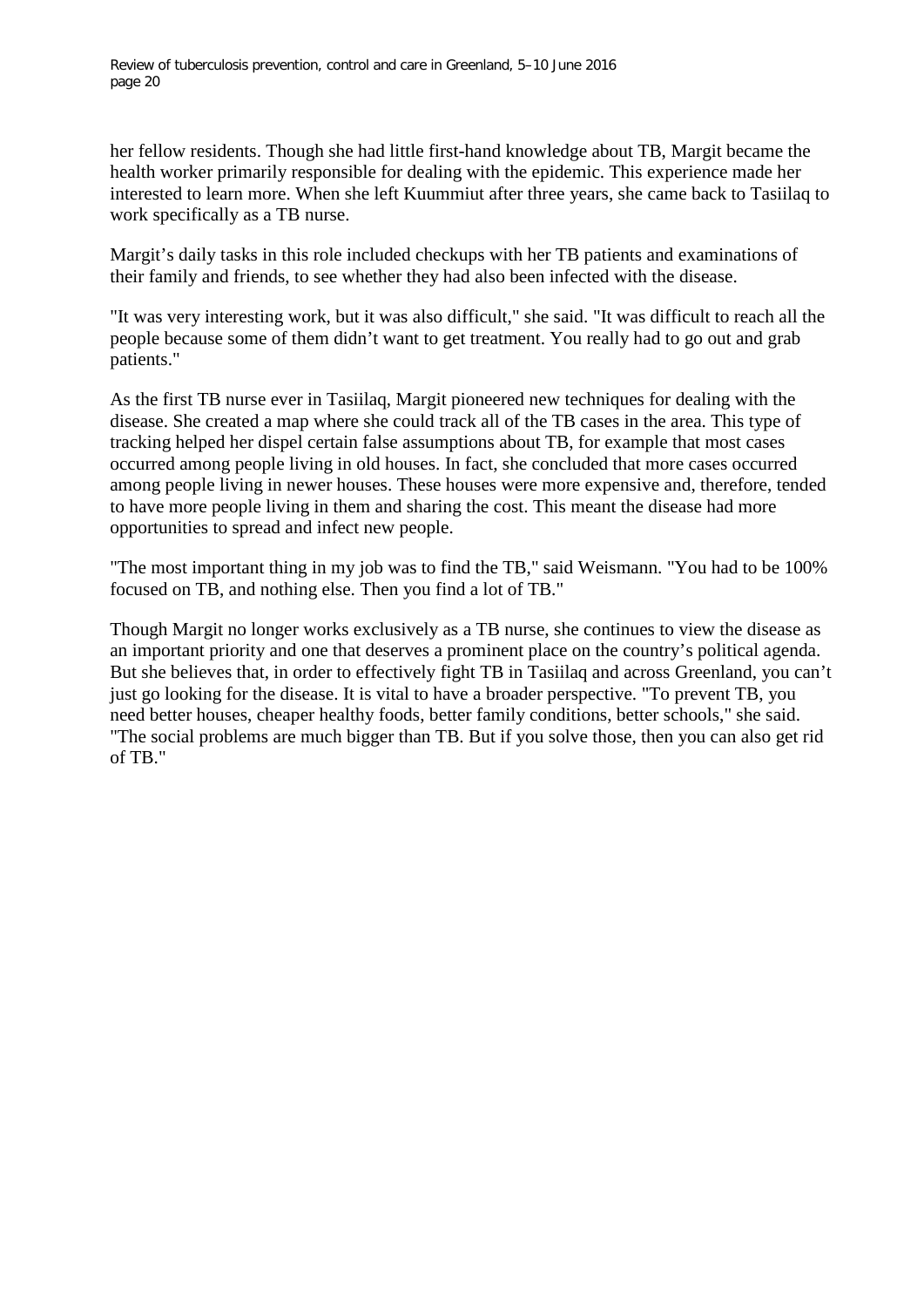her fellow residents. Though she had little first-hand knowledge about TB, Margit became the health worker primarily responsible for dealing with the epidemic. This experience made her interested to learn more. When she left Kuummiut after three years, she came back to Tasiilaq to work specifically as a TB nurse.

Margit's daily tasks in this role included checkups with her TB patients and examinations of their family and friends, to see whether they had also been infected with the disease.

"It was very interesting work, but it was also difficult," she said. "It was difficult to reach all the people because some of them didn't want to get treatment. You really had to go out and grab patients."

As the first TB nurse ever in Tasiilaq, Margit pioneered new techniques for dealing with the disease. She created a map where she could track all of the TB cases in the area. This type of tracking helped her dispel certain false assumptions about TB, for example that most cases occurred among people living in old houses. In fact, she concluded that more cases occurred among people living in newer houses. These houses were more expensive and, therefore, tended to have more people living in them and sharing the cost. This meant the disease had more opportunities to spread and infect new people.

"The most important thing in my job was to find the TB," said Weismann. "You had to be 100% focused on TB, and nothing else. Then you find a lot of TB."

Though Margit no longer works exclusively as a TB nurse, she continues to view the disease as an important priority and one that deserves a prominent place on the country's political agenda. But she believes that, in order to effectively fight TB in Tasiilaq and across Greenland, you can't just go looking for the disease. It is vital to have a broader perspective. "To prevent TB, you need better houses, cheaper healthy foods, better family conditions, better schools," she said. "The social problems are much bigger than TB. But if you solve those, then you can also get rid of TB."